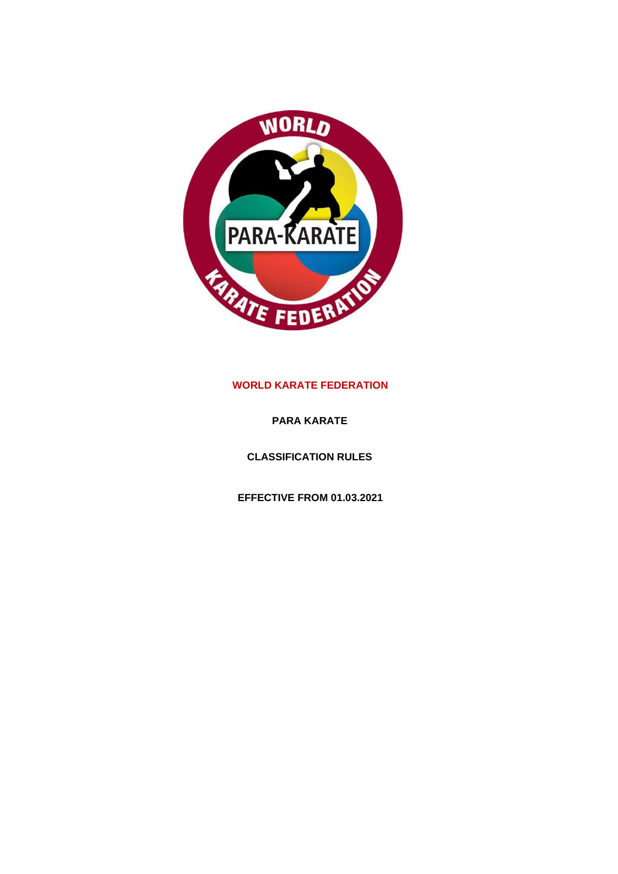

# **WORLD KARATE FEDERATION**

**PARA KARATE**

**CLASSIFICATION RULES**

**EFFECTIVE FROM 01.03.2021**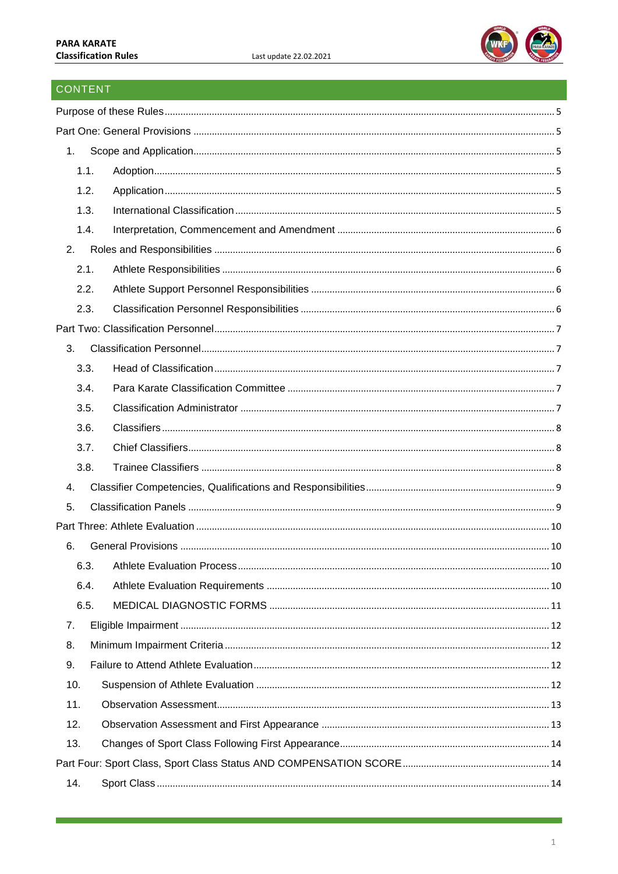

# CONTENT

| 1.   |  |  |  |
|------|--|--|--|
| 1.1. |  |  |  |
| 1.2. |  |  |  |
| 1.3. |  |  |  |
| 1.4. |  |  |  |
| 2.   |  |  |  |
| 2.1. |  |  |  |
| 2.2. |  |  |  |
| 2.3. |  |  |  |
|      |  |  |  |
| 3.   |  |  |  |
| 3.3. |  |  |  |
| 3.4. |  |  |  |
| 3.5. |  |  |  |
| 3.6. |  |  |  |
| 3.7. |  |  |  |
| 3.8. |  |  |  |
| 4.   |  |  |  |
| 5.   |  |  |  |
|      |  |  |  |
| 6.   |  |  |  |
|      |  |  |  |
| 6.4. |  |  |  |
| 6.5. |  |  |  |
| 7.   |  |  |  |
| 8.   |  |  |  |
| 9.   |  |  |  |
| 10.  |  |  |  |
| 11.  |  |  |  |
| 12.  |  |  |  |
| 13.  |  |  |  |
|      |  |  |  |
| 14.  |  |  |  |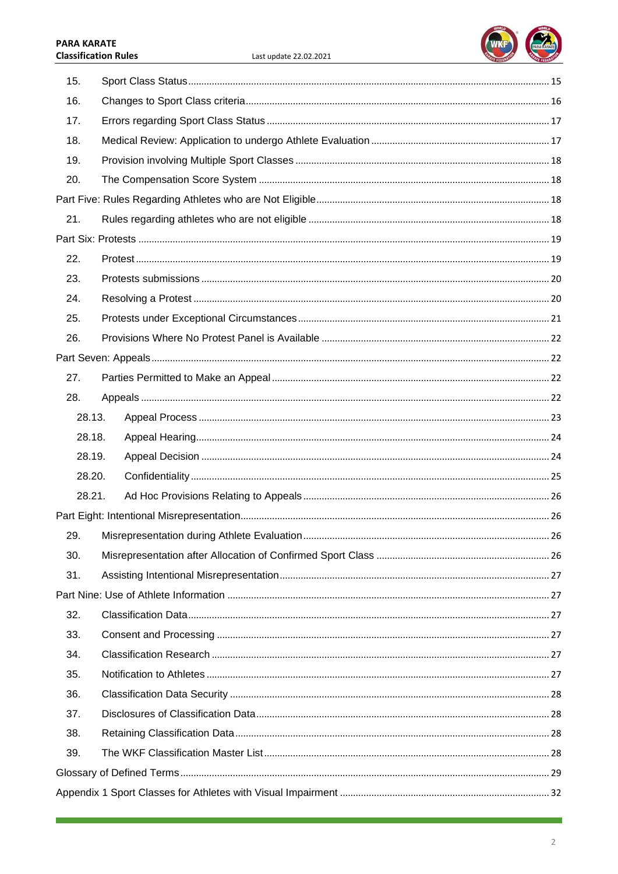#### **PARA KARATE Classification Rules**



| 15. |        |  |      |
|-----|--------|--|------|
| 16. |        |  |      |
| 17. |        |  |      |
| 18. |        |  |      |
| 19. |        |  |      |
| 20. |        |  |      |
|     |        |  |      |
| 21. |        |  |      |
|     |        |  |      |
| 22. |        |  |      |
| 23. |        |  |      |
| 24. |        |  |      |
| 25. |        |  |      |
| 26. |        |  |      |
|     |        |  |      |
| 27. |        |  |      |
| 28. |        |  |      |
|     | 28.13. |  |      |
|     | 28.18. |  |      |
|     | 28.19. |  |      |
|     | 28.20. |  |      |
|     | 28.21. |  |      |
|     |        |  |      |
| 29. |        |  | . 26 |
| 30. |        |  |      |
| 31. |        |  |      |
|     |        |  |      |
| 32. |        |  |      |
| 33. |        |  |      |
| 34. |        |  |      |
| 35. |        |  |      |
| 36. |        |  |      |
| 37. |        |  |      |
| 38. |        |  |      |
| 39. |        |  |      |
|     |        |  |      |
|     |        |  |      |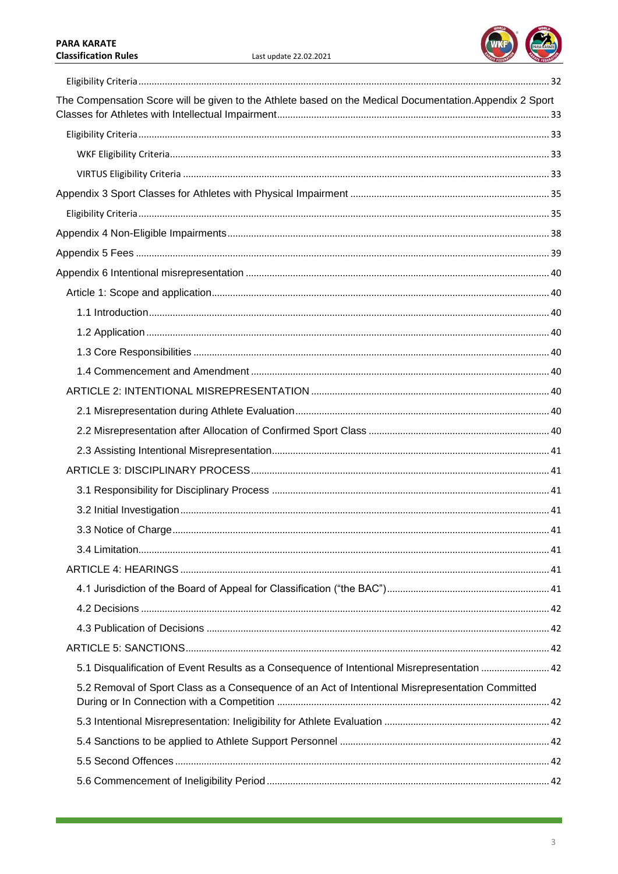a sa kacamatan ing Kabupatèn Kabupatèn Kabupatèn Kabupatèn Kabupatèn Kabupatèn Kabupatèn Kabupatèn Kabupatèn K



| The Compensation Score will be given to the Athlete based on the Medical Documentation. Appendix 2 Sport |  |
|----------------------------------------------------------------------------------------------------------|--|
|                                                                                                          |  |
|                                                                                                          |  |
|                                                                                                          |  |
|                                                                                                          |  |
|                                                                                                          |  |
|                                                                                                          |  |
|                                                                                                          |  |
|                                                                                                          |  |
|                                                                                                          |  |
|                                                                                                          |  |
|                                                                                                          |  |
|                                                                                                          |  |
|                                                                                                          |  |
|                                                                                                          |  |
|                                                                                                          |  |
|                                                                                                          |  |
|                                                                                                          |  |
|                                                                                                          |  |
|                                                                                                          |  |
|                                                                                                          |  |
|                                                                                                          |  |
|                                                                                                          |  |
|                                                                                                          |  |
|                                                                                                          |  |
|                                                                                                          |  |
|                                                                                                          |  |
|                                                                                                          |  |
| 5.1 Disqualification of Event Results as a Consequence of Intentional Misrepresentation  42              |  |
| 5.2 Removal of Sport Class as a Consequence of an Act of Intentional Misrepresentation Committed         |  |
|                                                                                                          |  |
|                                                                                                          |  |
|                                                                                                          |  |
|                                                                                                          |  |

a sa kabila na katika sa katika sa katika sa sanga na katika sa sanga na katika sa sa sa sa sa sa sa sa sa san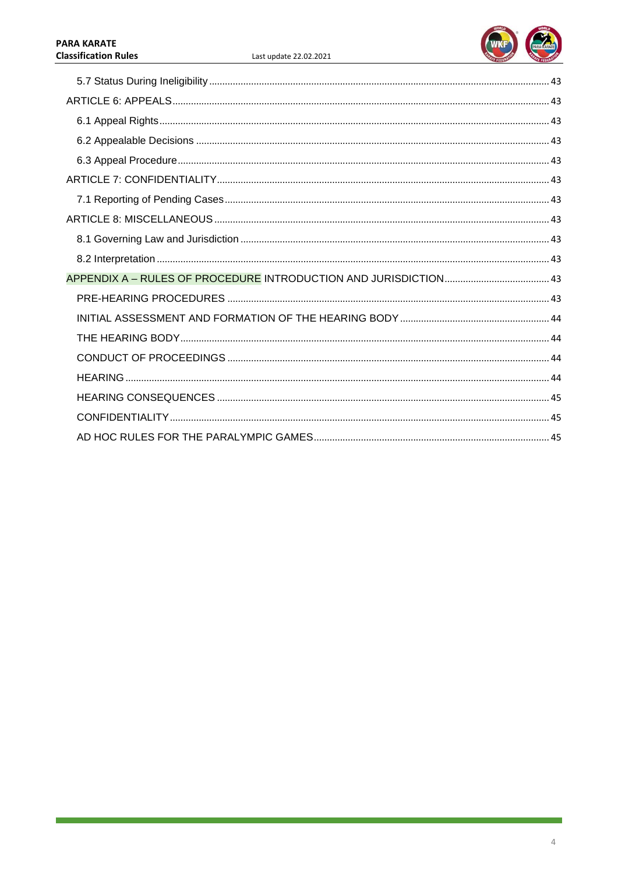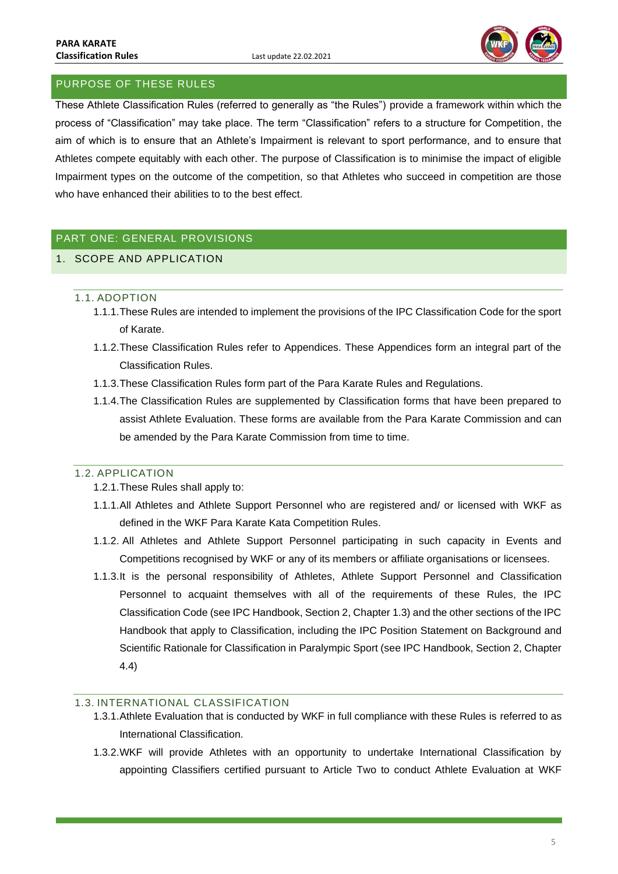

# <span id="page-5-0"></span>PURPOSE OF THESE RULES

These Athlete Classification Rules (referred to generally as "the Rules") provide a framework within which the process of "Classification" may take place. The term "Classification" refers to a structure for Competition, the aim of which is to ensure that an Athlete's Impairment is relevant to sport performance, and to ensure that Athletes compete equitably with each other. The purpose of Classification is to minimise the impact of eligible Impairment types on the outcome of the competition, so that Athletes who succeed in competition are those who have enhanced their abilities to to the best effect.

# <span id="page-5-1"></span>PART ONE: GENERAL PROVISIONS

# <span id="page-5-3"></span><span id="page-5-2"></span>1. SCOPE AND APPLICATION

### 1.1. ADOPTION

- 1.1.1.These Rules are intended to implement the provisions of the IPC Classification Code for the sport of Karate.
- 1.1.2.These Classification Rules refer to Appendices. These Appendices form an integral part of the Classification Rules.
- 1.1.3.These Classification Rules form part of the Para Karate Rules and Regulations.
- 1.1.4.The Classification Rules are supplemented by Classification forms that have been prepared to assist Athlete Evaluation. These forms are available from the Para Karate Commission and can be amended by the Para Karate Commission from time to time.

### <span id="page-5-4"></span>1.2. APPLICATION

- 1.2.1.These Rules shall apply to:
- 1.1.1.All Athletes and Athlete Support Personnel who are registered and/ or licensed with WKF as defined in the WKF Para Karate Kata Competition Rules.
- 1.1.2. All Athletes and Athlete Support Personnel participating in such capacity in Events and Competitions recognised by WKF or any of its members or affiliate organisations or licensees.
- 1.1.3.It is the personal responsibility of Athletes, Athlete Support Personnel and Classification Personnel to acquaint themselves with all of the requirements of these Rules, the IPC Classification Code (see IPC Handbook, Section 2, Chapter 1.3) and the other sections of the IPC Handbook that apply to Classification, including the IPC Position Statement on Background and Scientific Rationale for Classification in Paralympic Sport (see IPC Handbook, Section 2, Chapter 4.4)

### <span id="page-5-5"></span>1.3. INTERNATIONAL CLASSIFICATION

- 1.3.1.Athlete Evaluation that is conducted by WKF in full compliance with these Rules is referred to as International Classification.
- 1.3.2.WKF will provide Athletes with an opportunity to undertake International Classification by appointing Classifiers certified pursuant to Article Two to conduct Athlete Evaluation at WKF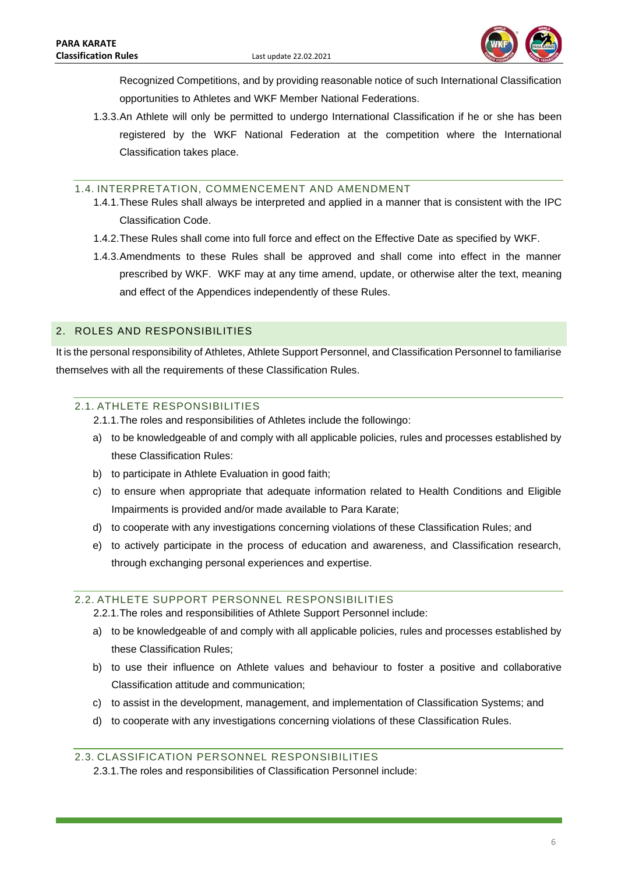

Recognized Competitions, and by providing reasonable notice of such International Classification opportunities to Athletes and WKF Member National Federations.

1.3.3.An Athlete will only be permitted to undergo International Classification if he or she has been registered by the WKF National Federation at the competition where the International Classification takes place.

### <span id="page-6-0"></span>1.4. INTERPRETATION, COMMENCEMENT AND AMENDMENT

- 1.4.1.These Rules shall always be interpreted and applied in a manner that is consistent with the IPC Classification Code.
- 1.4.2.These Rules shall come into full force and effect on the Effective Date as specified by WKF.
- 1.4.3.Amendments to these Rules shall be approved and shall come into effect in the manner prescribed by WKF. WKF may at any time amend, update, or otherwise alter the text, meaning and effect of the Appendices independently of these Rules.

# <span id="page-6-1"></span>2. ROLES AND RESPONSIBILITIES

It is the personal responsibility of Athletes, Athlete Support Personnel, and Classification Personnel to familiarise themselves with all the requirements of these Classification Rules.

### <span id="page-6-2"></span>2.1. ATHLETE RESPONSIBILITIES

- 2.1.1.The roles and responsibilities of Athletes include the followingo:
- a) to be knowledgeable of and comply with all applicable policies, rules and processes established by these Classification Rules:
- b) to participate in Athlete Evaluation in good faith;
- c) to ensure when appropriate that adequate information related to Health Conditions and Eligible Impairments is provided and/or made available to Para Karate;
- d) to cooperate with any investigations concerning violations of these Classification Rules; and
- e) to actively participate in the process of education and awareness, and Classification research, through exchanging personal experiences and expertise.

## <span id="page-6-3"></span>2.2. ATHLETE SUPPORT PERSONNEL RESPONSIBILITIES

2.2.1.The roles and responsibilities of Athlete Support Personnel include:

- a) to be knowledgeable of and comply with all applicable policies, rules and processes established by these Classification Rules;
- b) to use their influence on Athlete values and behaviour to foster a positive and collaborative Classification attitude and communication;
- c) to assist in the development, management, and implementation of Classification Systems; and
- d) to cooperate with any investigations concerning violations of these Classification Rules.

## <span id="page-6-4"></span>2.3. CLASSIFICATION PERSONNEL RESPONSIBILITIES

2.3.1.The roles and responsibilities of Classification Personnel include: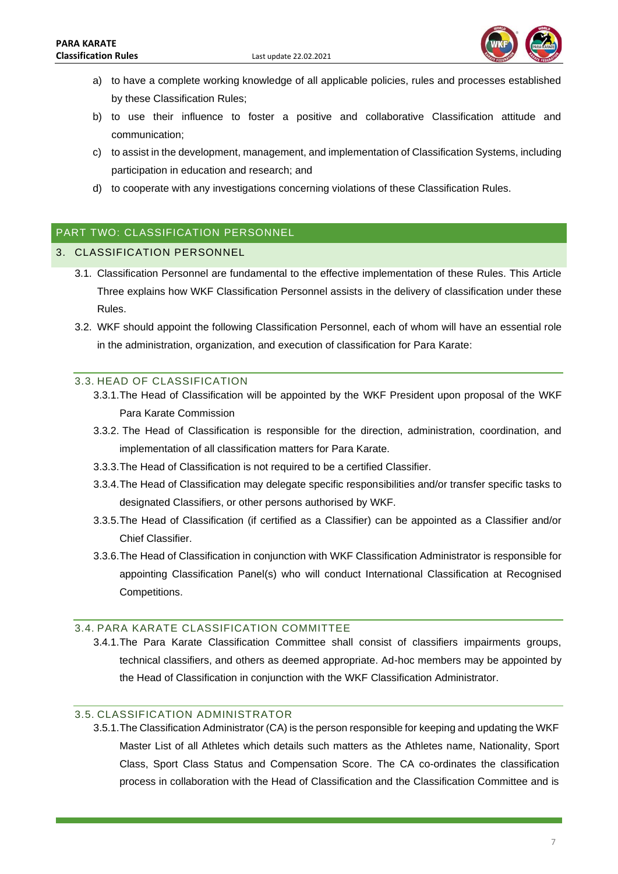

- a) to have a complete working knowledge of all applicable policies, rules and processes established by these Classification Rules;
- b) to use their influence to foster a positive and collaborative Classification attitude and communication;
- c) to assist in the development, management, and implementation of Classification Systems, including participation in education and research; and
- d) to cooperate with any investigations concerning violations of these Classification Rules.

### <span id="page-7-0"></span>PART TWO: CLASSIFICATION PERSONNEL

#### <span id="page-7-1"></span>3. CLASSIFICATION PERSONNEL

- 3.1. Classification Personnel are fundamental to the effective implementation of these Rules. This Article Three explains how WKF Classification Personnel assists in the delivery of classification under these Rules.
- 3.2. WKF should appoint the following Classification Personnel, each of whom will have an essential role in the administration, organization, and execution of classification for Para Karate:

### <span id="page-7-2"></span>3.3. HEAD OF CLASSIFICATION

- 3.3.1.The Head of Classification will be appointed by the WKF President upon proposal of the WKF Para Karate Commission
- 3.3.2. The Head of Classification is responsible for the direction, administration, coordination, and implementation of all classification matters for Para Karate.
- 3.3.3.The Head of Classification is not required to be a certified Classifier.
- 3.3.4.The Head of Classification may delegate specific responsibilities and/or transfer specific tasks to designated Classifiers, or other persons authorised by WKF.
- 3.3.5.The Head of Classification (if certified as a Classifier) can be appointed as a Classifier and/or Chief Classifier.
- 3.3.6.The Head of Classification in conjunction with WKF Classification Administrator is responsible for appointing Classification Panel(s) who will conduct International Classification at Recognised Competitions.

#### <span id="page-7-3"></span>3.4. PARA KARATE CLASSIFICATION COMMITTEE

3.4.1.The Para Karate Classification Committee shall consist of classifiers impairments groups, technical classifiers, and others as deemed appropriate. Ad-hoc members may be appointed by the Head of Classification in conjunction with the WKF Classification Administrator.

## <span id="page-7-4"></span>3.5. CLASSIFICATION ADMINISTRATOR

3.5.1.The Classification Administrator (CA) is the person responsible for keeping and updating the WKF Master List of all Athletes which details such matters as the Athletes name, Nationality, Sport Class, Sport Class Status and Compensation Score. The CA co-ordinates the classification process in collaboration with the Head of Classification and the Classification Committee and is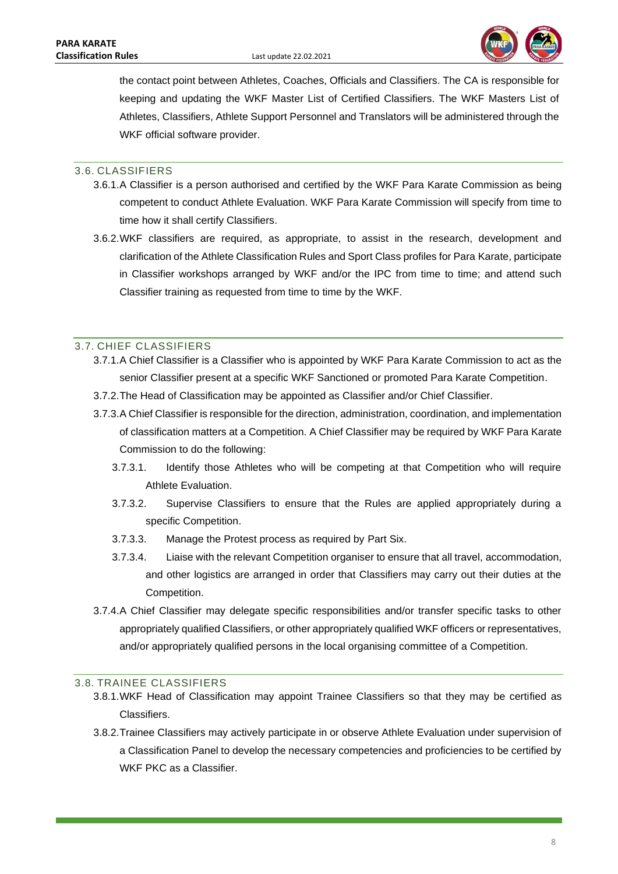

the contact point between Athletes, Coaches, Officials and Classifiers. The CA is responsible for keeping and updating the WKF Master List of Certified Classifiers. The WKF Masters List of Athletes, Classifiers, Athlete Support Personnel and Translators will be administered through the WKF official software provider.

### <span id="page-8-0"></span>3.6. CLASSIFIERS

- 3.6.1.A Classifier is a person authorised and certified by the WKF Para Karate Commission as being competent to conduct Athlete Evaluation. WKF Para Karate Commission will specify from time to time how it shall certify Classifiers.
- 3.6.2.WKF classifiers are required, as appropriate, to assist in the research, development and clarification of the Athlete Classification Rules and Sport Class profiles for Para Karate, participate in Classifier workshops arranged by WKF and/or the IPC from time to time; and attend such Classifier training as requested from time to time by the WKF.

### <span id="page-8-1"></span>3.7. CHIEF CLASSIFIERS

- 3.7.1.A Chief Classifier is a Classifier who is appointed by WKF Para Karate Commission to act as the senior Classifier present at a specific WKF Sanctioned or promoted Para Karate Competition.
- 3.7.2.The Head of Classification may be appointed as Classifier and/or Chief Classifier.
- 3.7.3.A Chief Classifier is responsible for the direction, administration, coordination, and implementation of classification matters at a Competition. A Chief Classifier may be required by WKF Para Karate Commission to do the following:
	- 3.7.3.1. Identify those Athletes who will be competing at that Competition who will require Athlete Evaluation.
	- 3.7.3.2. Supervise Classifiers to ensure that the Rules are applied appropriately during a specific Competition.
	- 3.7.3.3. Manage the Protest process as required by Part Six.
	- 3.7.3.4. Liaise with the relevant Competition organiser to ensure that all travel, accommodation, and other logistics are arranged in order that Classifiers may carry out their duties at the Competition.
- 3.7.4.A Chief Classifier may delegate specific responsibilities and/or transfer specific tasks to other appropriately qualified Classifiers, or other appropriately qualified WKF officers or representatives, and/or appropriately qualified persons in the local organising committee of a Competition.

### <span id="page-8-2"></span>3.8. TRAINEE CLASSIFIERS

- 3.8.1.WKF Head of Classification may appoint Trainee Classifiers so that they may be certified as Classifiers.
- 3.8.2.Trainee Classifiers may actively participate in or observe Athlete Evaluation under supervision of a Classification Panel to develop the necessary competencies and proficiencies to be certified by WKF PKC as a Classifier.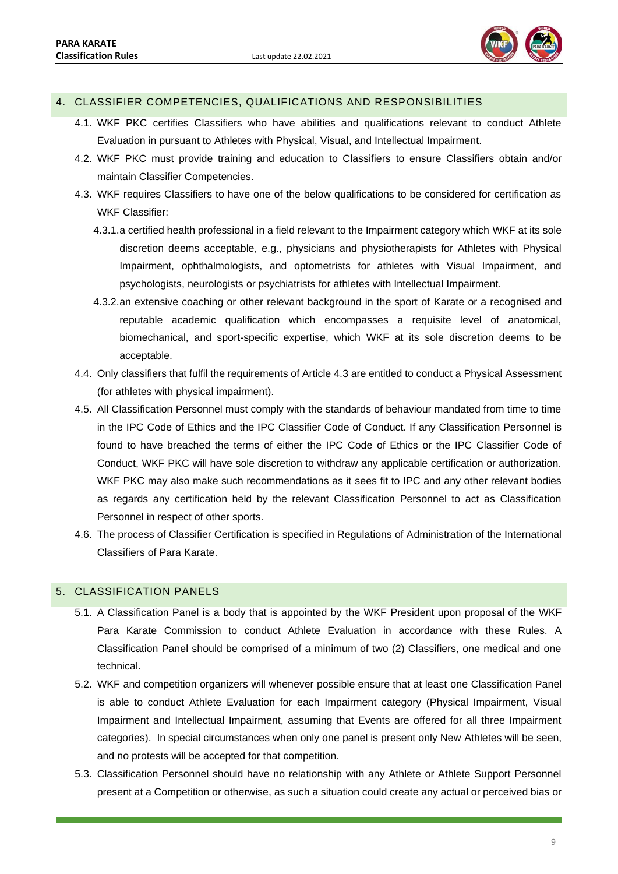

### <span id="page-9-0"></span>4. CLASSIFIER COMPETENCIES, QUALIFICATIONS AND RESPONSIBILITIES

- 4.1. WKF PKC certifies Classifiers who have abilities and qualifications relevant to conduct Athlete Evaluation in pursuant to Athletes with Physical, Visual, and Intellectual Impairment.
- 4.2. WKF PKC must provide training and education to Classifiers to ensure Classifiers obtain and/or maintain Classifier Competencies.
- 4.3. WKF requires Classifiers to have one of the below qualifications to be considered for certification as WKF Classifier:
	- 4.3.1.a certified health professional in a field relevant to the Impairment category which WKF at its sole discretion deems acceptable, e.g., physicians and physiotherapists for Athletes with Physical Impairment, ophthalmologists, and optometrists for athletes with Visual Impairment, and psychologists, neurologists or psychiatrists for athletes with Intellectual Impairment.
	- 4.3.2.an extensive coaching or other relevant background in the sport of Karate or a recognised and reputable academic qualification which encompasses a requisite level of anatomical, biomechanical, and sport-specific expertise, which WKF at its sole discretion deems to be acceptable.
- 4.4. Only classifiers that fulfil the requirements of Article 4.3 are entitled to conduct a Physical Assessment (for athletes with physical impairment).
- 4.5. All Classification Personnel must comply with the standards of behaviour mandated from time to time in the IPC Code of Ethics and the IPC Classifier Code of Conduct. If any Classification Personnel is found to have breached the terms of either the IPC Code of Ethics or the IPC Classifier Code of Conduct, WKF PKC will have sole discretion to withdraw any applicable certification or authorization. WKF PKC may also make such recommendations as it sees fit to IPC and any other relevant bodies as regards any certification held by the relevant Classification Personnel to act as Classification Personnel in respect of other sports.
- 4.6. The process of Classifier Certification is specified in Regulations of Administration of the International Classifiers of Para Karate.

### <span id="page-9-1"></span>5. CLASSIFICATION PANELS

- 5.1. A Classification Panel is a body that is appointed by the WKF President upon proposal of the WKF Para Karate Commission to conduct Athlete Evaluation in accordance with these Rules. A Classification Panel should be comprised of a minimum of two (2) Classifiers, one medical and one technical.
- 5.2. WKF and competition organizers will whenever possible ensure that at least one Classification Panel is able to conduct Athlete Evaluation for each Impairment category (Physical Impairment, Visual Impairment and Intellectual Impairment, assuming that Events are offered for all three Impairment categories). In special circumstances when only one panel is present only New Athletes will be seen, and no protests will be accepted for that competition.
- 5.3. Classification Personnel should have no relationship with any Athlete or Athlete Support Personnel present at a Competition or otherwise, as such a situation could create any actual or perceived bias or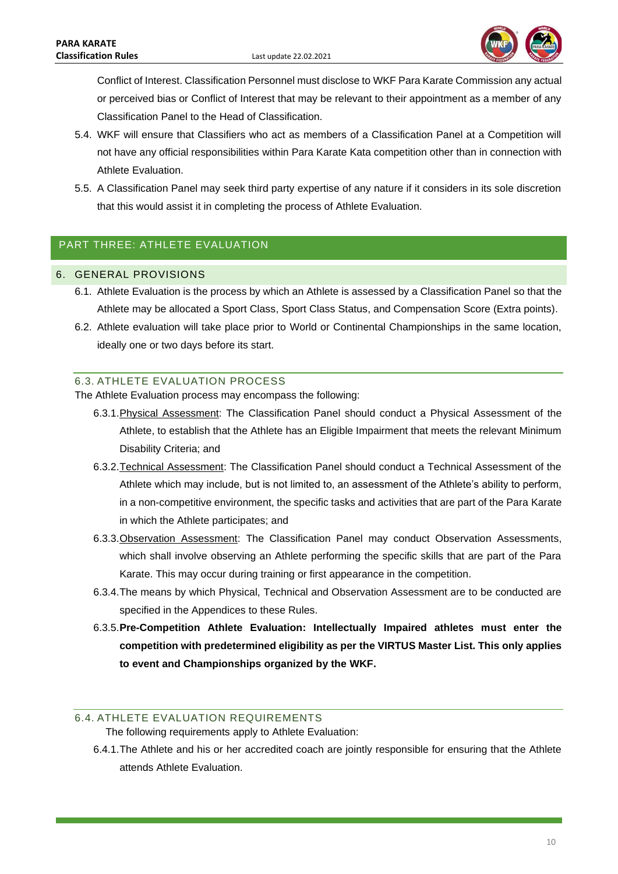

Conflict of Interest. Classification Personnel must disclose to WKF Para Karate Commission any actual or perceived bias or Conflict of Interest that may be relevant to their appointment as a member of any Classification Panel to the Head of Classification.

- 5.4. WKF will ensure that Classifiers who act as members of a Classification Panel at a Competition will not have any official responsibilities within Para Karate Kata competition other than in connection with Athlete Evaluation.
- 5.5. A Classification Panel may seek third party expertise of any nature if it considers in its sole discretion that this would assist it in completing the process of Athlete Evaluation.

# <span id="page-10-0"></span>PART THREE: ATHLETE EVALUATION

### <span id="page-10-1"></span>6. GENERAL PROVISIONS

- 6.1. Athlete Evaluation is the process by which an Athlete is assessed by a Classification Panel so that the Athlete may be allocated a Sport Class, Sport Class Status, and Compensation Score (Extra points).
- 6.2. Athlete evaluation will take place prior to World or Continental Championships in the same location, ideally one or two days before its start.

### <span id="page-10-2"></span>6.3. ATHLETE EVALUATION PROCESS

The Athlete Evaluation process may encompass the following:

- 6.3.1.Physical Assessment: The Classification Panel should conduct a Physical Assessment of the Athlete, to establish that the Athlete has an Eligible Impairment that meets the relevant Minimum Disability Criteria; and
- 6.3.2.Technical Assessment: The Classification Panel should conduct a Technical Assessment of the Athlete which may include, but is not limited to, an assessment of the Athlete's ability to perform, in a non-competitive environment, the specific tasks and activities that are part of the Para Karate in which the Athlete participates; and
- 6.3.3.Observation Assessment: The Classification Panel may conduct Observation Assessments, which shall involve observing an Athlete performing the specific skills that are part of the Para Karate. This may occur during training or first appearance in the competition.
- 6.3.4.The means by which Physical, Technical and Observation Assessment are to be conducted are specified in the Appendices to these Rules.
- 6.3.5.**Pre-Competition Athlete Evaluation: Intellectually Impaired athletes must enter the competition with predetermined eligibility as per the VIRTUS Master List. This only applies to event and Championships organized by the WKF.**

### <span id="page-10-3"></span>6.4. ATHLETE EVALUATION REQUIREMENTS

The following requirements apply to Athlete Evaluation:

6.4.1.The Athlete and his or her accredited coach are jointly responsible for ensuring that the Athlete attends Athlete Evaluation.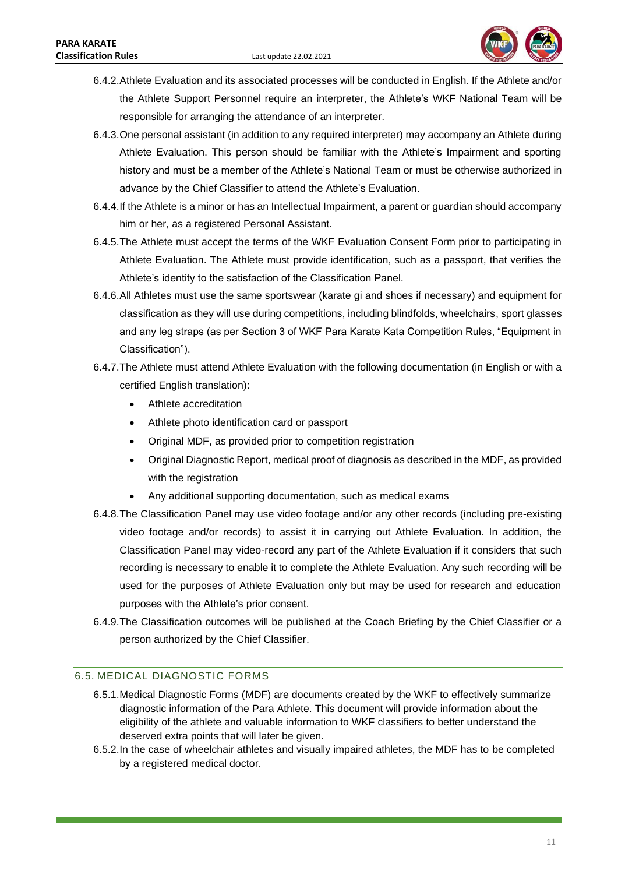

- 6.4.2.Athlete Evaluation and its associated processes will be conducted in English. If the Athlete and/or the Athlete Support Personnel require an interpreter, the Athlete's WKF National Team will be responsible for arranging the attendance of an interpreter.
- 6.4.3.One personal assistant (in addition to any required interpreter) may accompany an Athlete during Athlete Evaluation. This person should be familiar with the Athlete's Impairment and sporting history and must be a member of the Athlete's National Team or must be otherwise authorized in advance by the Chief Classifier to attend the Athlete's Evaluation.
- 6.4.4.If the Athlete is a minor or has an Intellectual Impairment, a parent or guardian should accompany him or her, as a registered Personal Assistant.
- 6.4.5.The Athlete must accept the terms of the WKF Evaluation Consent Form prior to participating in Athlete Evaluation. The Athlete must provide identification, such as a passport, that verifies the Athlete's identity to the satisfaction of the Classification Panel.
- 6.4.6.All Athletes must use the same sportswear (karate gi and shoes if necessary) and equipment for classification as they will use during competitions, including blindfolds, wheelchairs, sport glasses and any leg straps (as per Section 3 of WKF Para Karate Kata Competition Rules, "Equipment in Classification").
- 6.4.7.The Athlete must attend Athlete Evaluation with the following documentation (in English or with a certified English translation):
	- Athlete accreditation
	- Athlete photo identification card or passport
	- Original MDF, as provided prior to competition registration
	- Original Diagnostic Report, medical proof of diagnosis as described in the MDF, as provided with the registration
	- Any additional supporting documentation, such as medical exams
- 6.4.8.The Classification Panel may use video footage and/or any other records (including pre-existing video footage and/or records) to assist it in carrying out Athlete Evaluation. In addition, the Classification Panel may video-record any part of the Athlete Evaluation if it considers that such recording is necessary to enable it to complete the Athlete Evaluation. Any such recording will be used for the purposes of Athlete Evaluation only but may be used for research and education purposes with the Athlete's prior consent.
- 6.4.9.The Classification outcomes will be published at the Coach Briefing by the Chief Classifier or a person authorized by the Chief Classifier.

### <span id="page-11-0"></span>6.5. MEDICAL DIAGNOSTIC FORMS

- 6.5.1.Medical Diagnostic Forms (MDF) are documents created by the WKF to effectively summarize diagnostic information of the Para Athlete. This document will provide information about the eligibility of the athlete and valuable information to WKF classifiers to better understand the deserved extra points that will later be given.
- 6.5.2.In the case of wheelchair athletes and visually impaired athletes, the MDF has to be completed by a registered medical doctor.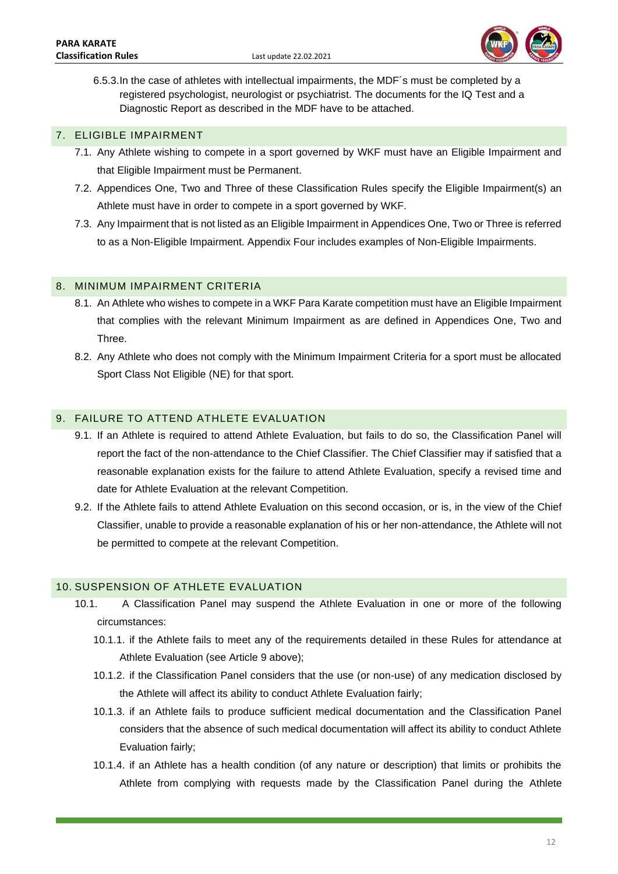

6.5.3.In the case of athletes with intellectual impairments, the MDF´s must be completed by a registered psychologist, neurologist or psychiatrist. The documents for the IQ Test and a Diagnostic Report as described in the MDF have to be attached.

### <span id="page-12-0"></span>7. ELIGIBLE IMPAIRMENT

- 7.1. Any Athlete wishing to compete in a sport governed by WKF must have an Eligible Impairment and that Eligible Impairment must be Permanent.
- 7.2. Appendices One, Two and Three of these Classification Rules specify the Eligible Impairment(s) an Athlete must have in order to compete in a sport governed by WKF.
- 7.3. Any Impairment that is not listed as an Eligible Impairment in Appendices One, Two or Three is referred to as a Non-Eligible Impairment. Appendix Four includes examples of Non-Eligible Impairments.

### <span id="page-12-1"></span>8. MINIMUM IMPAIRMENT CRITERIA

- 8.1. An Athlete who wishes to compete in a WKF Para Karate competition must have an Eligible Impairment that complies with the relevant Minimum Impairment as are defined in Appendices One, Two and Three.
- 8.2. Any Athlete who does not comply with the Minimum Impairment Criteria for a sport must be allocated Sport Class Not Eligible (NE) for that sport.

# <span id="page-12-2"></span>9. FAILURE TO ATTEND ATHLETE EVALUATION

- 9.1. If an Athlete is required to attend Athlete Evaluation, but fails to do so, the Classification Panel will report the fact of the non-attendance to the Chief Classifier. The Chief Classifier may if satisfied that a reasonable explanation exists for the failure to attend Athlete Evaluation, specify a revised time and date for Athlete Evaluation at the relevant Competition.
- 9.2. If the Athlete fails to attend Athlete Evaluation on this second occasion, or is, in the view of the Chief Classifier, unable to provide a reasonable explanation of his or her non-attendance, the Athlete will not be permitted to compete at the relevant Competition.

### <span id="page-12-3"></span>10. SUSPENSION OF ATHLETE EVALUATION

- 10.1. A Classification Panel may suspend the Athlete Evaluation in one or more of the following circumstances:
	- 10.1.1. if the Athlete fails to meet any of the requirements detailed in these Rules for attendance at Athlete Evaluation (see Article 9 above);
	- 10.1.2. if the Classification Panel considers that the use (or non-use) of any medication disclosed by the Athlete will affect its ability to conduct Athlete Evaluation fairly;
	- 10.1.3. if an Athlete fails to produce sufficient medical documentation and the Classification Panel considers that the absence of such medical documentation will affect its ability to conduct Athlete Evaluation fairly;
	- 10.1.4. if an Athlete has a health condition (of any nature or description) that limits or prohibits the Athlete from complying with requests made by the Classification Panel during the Athlete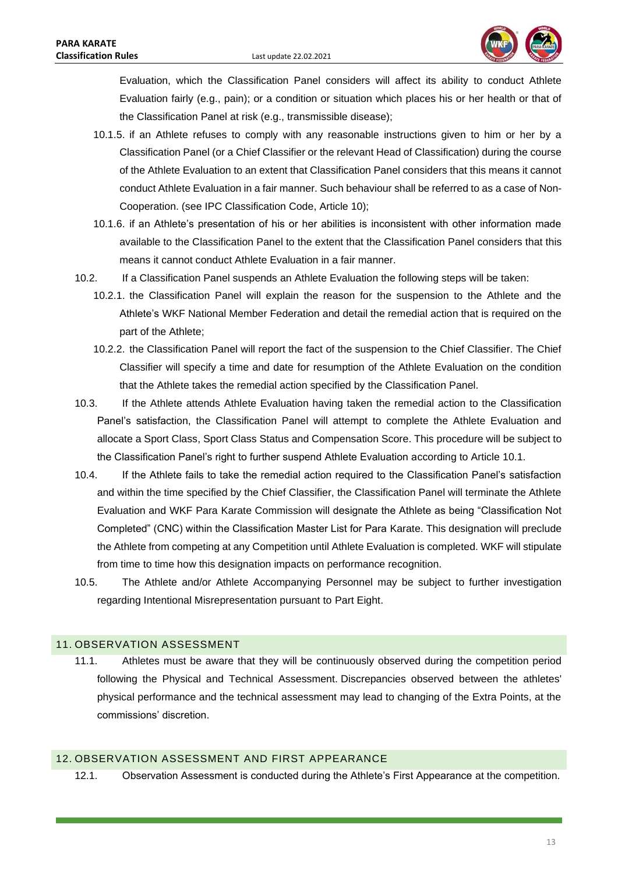

Evaluation, which the Classification Panel considers will affect its ability to conduct Athlete Evaluation fairly (e.g., pain); or a condition or situation which places his or her health or that of the Classification Panel at risk (e.g., transmissible disease);

- 10.1.5. if an Athlete refuses to comply with any reasonable instructions given to him or her by a Classification Panel (or a Chief Classifier or the relevant Head of Classification) during the course of the Athlete Evaluation to an extent that Classification Panel considers that this means it cannot conduct Athlete Evaluation in a fair manner. Such behaviour shall be referred to as a case of Non-Cooperation. (see IPC Classification Code, Article 10);
- 10.1.6. if an Athlete's presentation of his or her abilities is inconsistent with other information made available to the Classification Panel to the extent that the Classification Panel considers that this means it cannot conduct Athlete Evaluation in a fair manner.
- 10.2. If a Classification Panel suspends an Athlete Evaluation the following steps will be taken:
	- 10.2.1. the Classification Panel will explain the reason for the suspension to the Athlete and the Athlete's WKF National Member Federation and detail the remedial action that is required on the part of the Athlete;
	- 10.2.2. the Classification Panel will report the fact of the suspension to the Chief Classifier. The Chief Classifier will specify a time and date for resumption of the Athlete Evaluation on the condition that the Athlete takes the remedial action specified by the Classification Panel.
- 10.3. If the Athlete attends Athlete Evaluation having taken the remedial action to the Classification Panel's satisfaction, the Classification Panel will attempt to complete the Athlete Evaluation and allocate a Sport Class, Sport Class Status and Compensation Score. This procedure will be subject to the Classification Panel's right to further suspend Athlete Evaluation according to Article 10.1.
- 10.4. If the Athlete fails to take the remedial action required to the Classification Panel's satisfaction and within the time specified by the Chief Classifier, the Classification Panel will terminate the Athlete Evaluation and WKF Para Karate Commission will designate the Athlete as being "Classification Not Completed" (CNC) within the Classification Master List for Para Karate. This designation will preclude the Athlete from competing at any Competition until Athlete Evaluation is completed. WKF will stipulate from time to time how this designation impacts on performance recognition.
- 10.5. The Athlete and/or Athlete Accompanying Personnel may be subject to further investigation regarding Intentional Misrepresentation pursuant to Part Eight.

# <span id="page-13-0"></span>11. OBSERVATION ASSESSMENT

11.1. Athletes must be aware that they will be continuously observed during the competition period following the Physical and Technical Assessment. Discrepancies observed between the athletes' physical performance and the technical assessment may lead to changing of the Extra Points, at the commissions' discretion.

### <span id="page-13-1"></span>12. OBSERVATION ASSESSMENT AND FIRST APPEARANCE

12.1. Observation Assessment is conducted during the Athlete's First Appearance at the competition.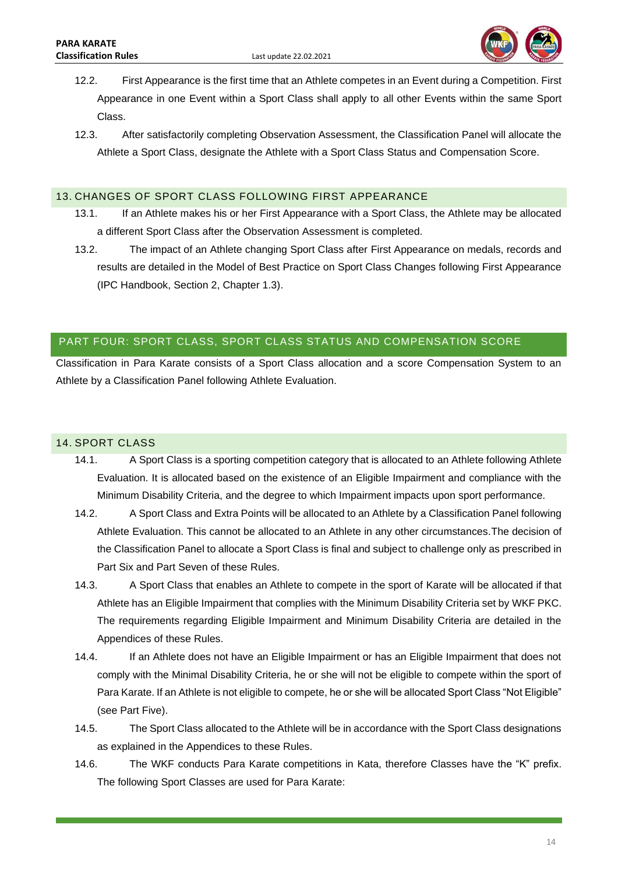

- 12.2. First Appearance is the first time that an Athlete competes in an Event during a Competition. First Appearance in one Event within a Sport Class shall apply to all other Events within the same Sport Class.
- 12.3. After satisfactorily completing Observation Assessment, the Classification Panel will allocate the Athlete a Sport Class, designate the Athlete with a Sport Class Status and Compensation Score.

# <span id="page-14-0"></span>13. CHANGES OF SPORT CLASS FOLLOWING FIRST APPEARANCE

- 13.1. If an Athlete makes his or her First Appearance with a Sport Class, the Athlete may be allocated a different Sport Class after the Observation Assessment is completed.
- 13.2. The impact of an Athlete changing Sport Class after First Appearance on medals, records and results are detailed in the Model of Best Practice on Sport Class Changes following First Appearance (IPC Handbook, Section 2, Chapter 1.3).

# <span id="page-14-1"></span>PART FOUR: SPORT CLASS, SPORT CLASS STATUS AND COMPENSATION SCORE

Classification in Para Karate consists of a Sport Class allocation and a score Compensation System to an Athlete by a Classification Panel following Athlete Evaluation.

# <span id="page-14-2"></span>14. SPORT CLASS

- 14.1. A Sport Class is a sporting competition category that is allocated to an Athlete following Athlete Evaluation. It is allocated based on the existence of an Eligible Impairment and compliance with the Minimum Disability Criteria, and the degree to which Impairment impacts upon sport performance.
- 14.2. A Sport Class and Extra Points will be allocated to an Athlete by a Classification Panel following Athlete Evaluation. This cannot be allocated to an Athlete in any other circumstances.The decision of the Classification Panel to allocate a Sport Class is final and subject to challenge only as prescribed in Part Six and Part Seven of these Rules.
- 14.3. A Sport Class that enables an Athlete to compete in the sport of Karate will be allocated if that Athlete has an Eligible Impairment that complies with the Minimum Disability Criteria set by WKF PKC. The requirements regarding Eligible Impairment and Minimum Disability Criteria are detailed in the Appendices of these Rules.
- 14.4. If an Athlete does not have an Eligible Impairment or has an Eligible Impairment that does not comply with the Minimal Disability Criteria, he or she will not be eligible to compete within the sport of Para Karate. If an Athlete is not eligible to compete, he or she will be allocated Sport Class "Not Eligible" (see Part Five).
- 14.5. The Sport Class allocated to the Athlete will be in accordance with the Sport Class designations as explained in the Appendices to these Rules.
- 14.6. The WKF conducts Para Karate competitions in Kata, therefore Classes have the "K" prefix. The following Sport Classes are used for Para Karate: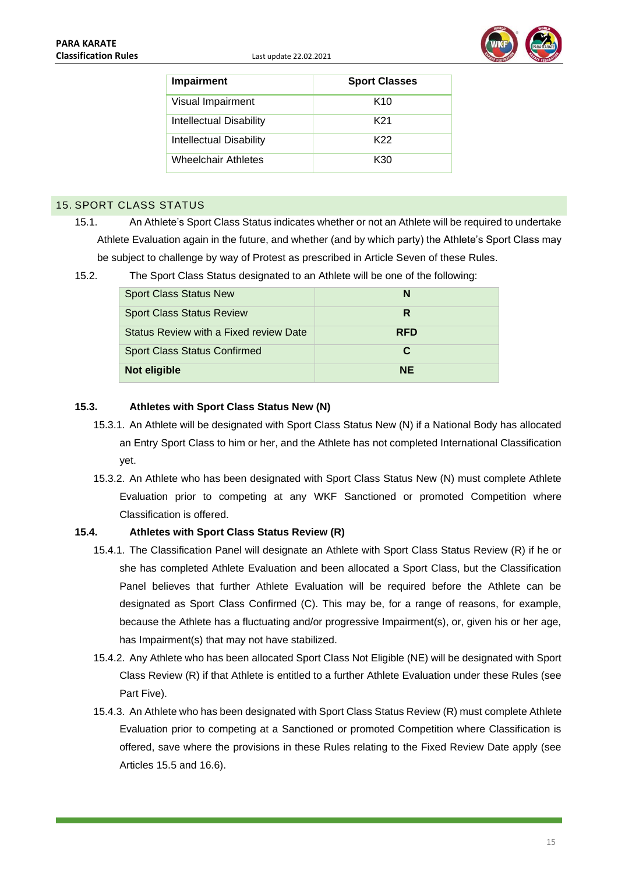

| Impairment              | <b>Sport Classes</b> |
|-------------------------|----------------------|
| Visual Impairment       | K <sub>10</sub>      |
| Intellectual Disability | K21                  |
| Intellectual Disability | K22                  |
| Wheelchair Athletes     | K30                  |

### <span id="page-15-0"></span>15. SPORT CLASS STATUS

15.1. An Athlete's Sport Class Status indicates whether or not an Athlete will be required to undertake Athlete Evaluation again in the future, and whether (and by which party) the Athlete's Sport Class may be subject to challenge by way of Protest as prescribed in Article Seven of these Rules.

| <b>Sport Class Status New</b>          | N          |
|----------------------------------------|------------|
| <b>Sport Class Status Review</b>       | R          |
| Status Review with a Fixed review Date | <b>RFD</b> |
| <b>Sport Class Status Confirmed</b>    | С          |
| Not eligible                           | <b>NE</b>  |

### 15.2. The Sport Class Status designated to an Athlete will be one of the following:

### **15.3. Athletes with Sport Class Status New (N)**

- 15.3.1. An Athlete will be designated with Sport Class Status New (N) if a National Body has allocated an Entry Sport Class to him or her, and the Athlete has not completed International Classification yet.
- 15.3.2. An Athlete who has been designated with Sport Class Status New (N) must complete Athlete Evaluation prior to competing at any WKF Sanctioned or promoted Competition where Classification is offered.

### **15.4. Athletes with Sport Class Status Review (R)**

- 15.4.1. The Classification Panel will designate an Athlete with Sport Class Status Review (R) if he or she has completed Athlete Evaluation and been allocated a Sport Class, but the Classification Panel believes that further Athlete Evaluation will be required before the Athlete can be designated as Sport Class Confirmed (C). This may be, for a range of reasons, for example, because the Athlete has a fluctuating and/or progressive Impairment(s), or, given his or her age, has Impairment(s) that may not have stabilized.
- 15.4.2. Any Athlete who has been allocated Sport Class Not Eligible (NE) will be designated with Sport Class Review (R) if that Athlete is entitled to a further Athlete Evaluation under these Rules (see Part Five).
- 15.4.3. An Athlete who has been designated with Sport Class Status Review (R) must complete Athlete Evaluation prior to competing at a Sanctioned or promoted Competition where Classification is offered, save where the provisions in these Rules relating to the Fixed Review Date apply (see Articles 15.5 and 16.6).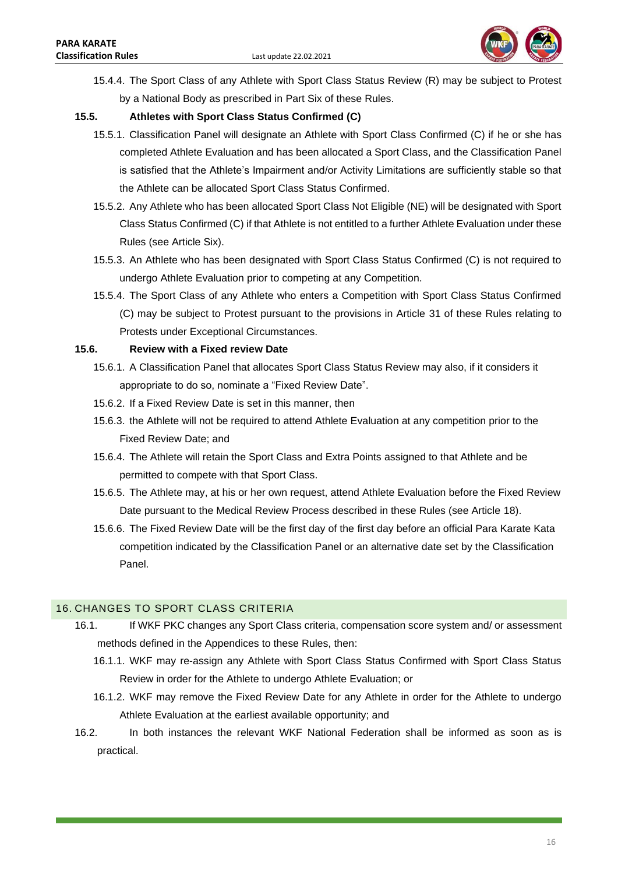

15.4.4. The Sport Class of any Athlete with Sport Class Status Review (R) may be subject to Protest by a National Body as prescribed in Part Six of these Rules.

### **15.5. Athletes with Sport Class Status Confirmed (C)**

- 15.5.1. Classification Panel will designate an Athlete with Sport Class Confirmed (C) if he or she has completed Athlete Evaluation and has been allocated a Sport Class, and the Classification Panel is satisfied that the Athlete's Impairment and/or Activity Limitations are sufficiently stable so that the Athlete can be allocated Sport Class Status Confirmed.
- 15.5.2. Any Athlete who has been allocated Sport Class Not Eligible (NE) will be designated with Sport Class Status Confirmed (C) if that Athlete is not entitled to a further Athlete Evaluation under these Rules (see Article Six).
- 15.5.3. An Athlete who has been designated with Sport Class Status Confirmed (C) is not required to undergo Athlete Evaluation prior to competing at any Competition.
- 15.5.4. The Sport Class of any Athlete who enters a Competition with Sport Class Status Confirmed (C) may be subject to Protest pursuant to the provisions in Article 31 of these Rules relating to Protests under Exceptional Circumstances.

### **15.6. Review with a Fixed review Date**

- 15.6.1. A Classification Panel that allocates Sport Class Status Review may also, if it considers it appropriate to do so, nominate a "Fixed Review Date".
- 15.6.2. If a Fixed Review Date is set in this manner, then
- 15.6.3. the Athlete will not be required to attend Athlete Evaluation at any competition prior to the Fixed Review Date; and
- 15.6.4. The Athlete will retain the Sport Class and Extra Points assigned to that Athlete and be permitted to compete with that Sport Class.
- 15.6.5. The Athlete may, at his or her own request, attend Athlete Evaluation before the Fixed Review Date pursuant to the Medical Review Process described in these Rules (see Article 18).
- 15.6.6. The Fixed Review Date will be the first day of the first day before an official Para Karate Kata competition indicated by the Classification Panel or an alternative date set by the Classification Panel.

# <span id="page-16-0"></span>16. CHANGES TO SPORT CLASS CRITERIA

- 16.1. If WKF PKC changes any Sport Class criteria, compensation score system and/ or assessment methods defined in the Appendices to these Rules, then:
	- 16.1.1. WKF may re-assign any Athlete with Sport Class Status Confirmed with Sport Class Status Review in order for the Athlete to undergo Athlete Evaluation; or
	- 16.1.2. WKF may remove the Fixed Review Date for any Athlete in order for the Athlete to undergo Athlete Evaluation at the earliest available opportunity; and
- 16.2. In both instances the relevant WKF National Federation shall be informed as soon as is practical.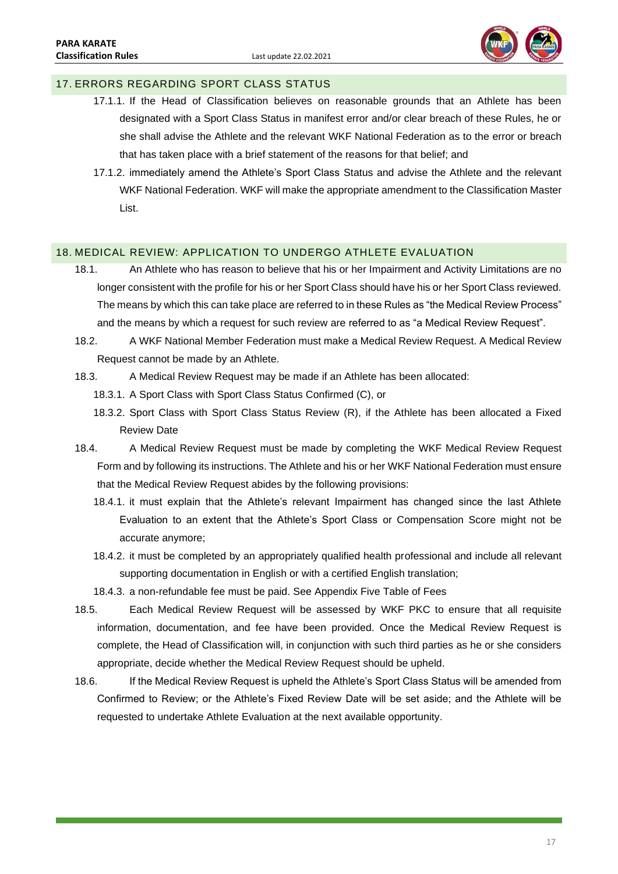

# <span id="page-17-0"></span>17. ERRORS REGARDING SPORT CLASS STATUS

- 17.1.1. If the Head of Classification believes on reasonable grounds that an Athlete has been designated with a Sport Class Status in manifest error and/or clear breach of these Rules, he or she shall advise the Athlete and the relevant WKF National Federation as to the error or breach that has taken place with a brief statement of the reasons for that belief; and
- 17.1.2. immediately amend the Athlete's Sport Class Status and advise the Athlete and the relevant WKF National Federation. WKF will make the appropriate amendment to the Classification Master List.

### <span id="page-17-1"></span>18. MEDICAL REVIEW: APPLICATION TO UNDERGO ATHLETE EVALUATION

- 18.1. An Athlete who has reason to believe that his or her Impairment and Activity Limitations are no longer consistent with the profile for his or her Sport Class should have his or her Sport Class reviewed. The means by which this can take place are referred to in these Rules as "the Medical Review Process" and the means by which a request for such review are referred to as "a Medical Review Request".
- 18.2. A WKF National Member Federation must make a Medical Review Request. A Medical Review Request cannot be made by an Athlete.
- 18.3. A Medical Review Request may be made if an Athlete has been allocated:
	- 18.3.1. A Sport Class with Sport Class Status Confirmed (C), or
	- 18.3.2. Sport Class with Sport Class Status Review (R), if the Athlete has been allocated a Fixed Review Date
- 18.4. A Medical Review Request must be made by completing the WKF Medical Review Request Form and by following its instructions. The Athlete and his or her WKF National Federation must ensure that the Medical Review Request abides by the following provisions:
	- 18.4.1. it must explain that the Athlete's relevant Impairment has changed since the last Athlete Evaluation to an extent that the Athlete's Sport Class or Compensation Score might not be accurate anymore;
	- 18.4.2. it must be completed by an appropriately qualified health professional and include all relevant supporting documentation in English or with a certified English translation;
	- 18.4.3. a non-refundable fee must be paid. See Appendix Five Table of Fees
- 18.5. Each Medical Review Request will be assessed by WKF PKC to ensure that all requisite information, documentation, and fee have been provided. Once the Medical Review Request is complete, the Head of Classification will, in conjunction with such third parties as he or she considers appropriate, decide whether the Medical Review Request should be upheld.
- 18.6. If the Medical Review Request is upheld the Athlete's Sport Class Status will be amended from Confirmed to Review; or the Athlete's Fixed Review Date will be set aside; and the Athlete will be requested to undertake Athlete Evaluation at the next available opportunity.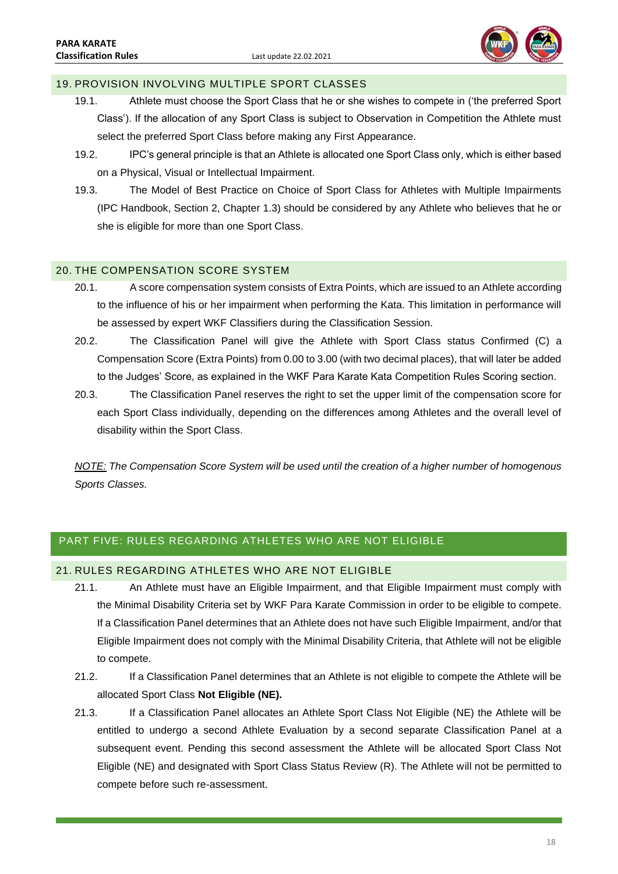

### <span id="page-18-0"></span>19. PROVISION INVOLVING MULTIPLE SPORT CLASSES

- 19.1. Athlete must choose the Sport Class that he or she wishes to compete in ('the preferred Sport Class'). If the allocation of any Sport Class is subject to Observation in Competition the Athlete must select the preferred Sport Class before making any First Appearance.
- 19.2. IPC's general principle is that an Athlete is allocated one Sport Class only, which is either based on a Physical, Visual or Intellectual Impairment.
- 19.3. The Model of Best Practice on Choice of Sport Class for Athletes with Multiple Impairments (IPC Handbook, Section 2, Chapter 1.3) should be considered by any Athlete who believes that he or she is eligible for more than one Sport Class.

### <span id="page-18-1"></span>20. THE COMPENSATION SCORE SYSTEM

- 20.1. A score compensation system consists of Extra Points, which are issued to an Athlete according to the influence of his or her impairment when performing the Kata. This limitation in performance will be assessed by expert WKF Classifiers during the Classification Session.
- 20.2. The Classification Panel will give the Athlete with Sport Class status Confirmed (C) a Compensation Score (Extra Points) from 0.00 to 3.00 (with two decimal places), that will later be added to the Judges' Score, as explained in the WKF Para Karate Kata Competition Rules Scoring section.
- 20.3. The Classification Panel reserves the right to set the upper limit of the compensation score for each Sport Class individually, depending on the differences among Athletes and the overall level of disability within the Sport Class.

*NOTE: The Compensation Score System will be used until the creation of a higher number of homogenous Sports Classes.*

# <span id="page-18-2"></span>PART FIVE: RULES REGARDING ATHLETES WHO ARE NOT ELIGIBLE

### <span id="page-18-3"></span>21. RULES REGARDING ATHLETES WHO ARE NOT ELIGIBLE

- 21.1. An Athlete must have an Eligible Impairment, and that Eligible Impairment must comply with the Minimal Disability Criteria set by WKF Para Karate Commission in order to be eligible to compete. If a Classification Panel determines that an Athlete does not have such Eligible Impairment, and/or that Eligible Impairment does not comply with the Minimal Disability Criteria, that Athlete will not be eligible to compete.
- 21.2. If a Classification Panel determines that an Athlete is not eligible to compete the Athlete will be allocated Sport Class **Not Eligible (NE).**
- 21.3. If a Classification Panel allocates an Athlete Sport Class Not Eligible (NE) the Athlete will be entitled to undergo a second Athlete Evaluation by a second separate Classification Panel at a subsequent event. Pending this second assessment the Athlete will be allocated Sport Class Not Eligible (NE) and designated with Sport Class Status Review (R). The Athlete will not be permitted to compete before such re-assessment.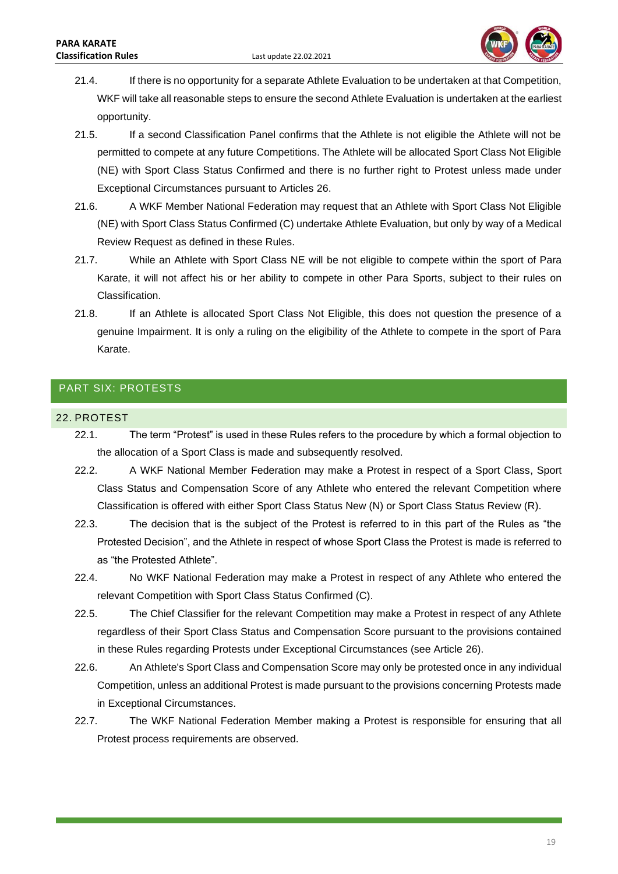

- 21.4. If there is no opportunity for a separate Athlete Evaluation to be undertaken at that Competition, WKF will take all reasonable steps to ensure the second Athlete Evaluation is undertaken at the earliest opportunity.
- 21.5. If a second Classification Panel confirms that the Athlete is not eligible the Athlete will not be permitted to compete at any future Competitions. The Athlete will be allocated Sport Class Not Eligible (NE) with Sport Class Status Confirmed and there is no further right to Protest unless made under Exceptional Circumstances pursuant to Articles 26.
- 21.6. A WKF Member National Federation may request that an Athlete with Sport Class Not Eligible (NE) with Sport Class Status Confirmed (C) undertake Athlete Evaluation, but only by way of a Medical Review Request as defined in these Rules.
- 21.7. While an Athlete with Sport Class NE will be not eligible to compete within the sport of Para Karate, it will not affect his or her ability to compete in other Para Sports, subject to their rules on Classification.
- 21.8. If an Athlete is allocated Sport Class Not Eligible, this does not question the presence of a genuine Impairment. It is only a ruling on the eligibility of the Athlete to compete in the sport of Para Karate.

# <span id="page-19-0"></span>PART SIX: PROTESTS

### <span id="page-19-1"></span>22. PROTEST

- 22.1. The term "Protest" is used in these Rules refers to the procedure by which a formal objection to the allocation of a Sport Class is made and subsequently resolved.
- 22.2. A WKF National Member Federation may make a Protest in respect of a Sport Class, Sport Class Status and Compensation Score of any Athlete who entered the relevant Competition where Classification is offered with either Sport Class Status New (N) or Sport Class Status Review (R).
- 22.3. The decision that is the subject of the Protest is referred to in this part of the Rules as "the Protested Decision", and the Athlete in respect of whose Sport Class the Protest is made is referred to as "the Protested Athlete".
- 22.4. No WKF National Federation may make a Protest in respect of any Athlete who entered the relevant Competition with Sport Class Status Confirmed (C).
- 22.5. The Chief Classifier for the relevant Competition may make a Protest in respect of any Athlete regardless of their Sport Class Status and Compensation Score pursuant to the provisions contained in these Rules regarding Protests under Exceptional Circumstances (see Article 26).
- 22.6. An Athlete's Sport Class and Compensation Score may only be protested once in any individual Competition, unless an additional Protest is made pursuant to the provisions concerning Protests made in Exceptional Circumstances.
- 22.7. The WKF National Federation Member making a Protest is responsible for ensuring that all Protest process requirements are observed.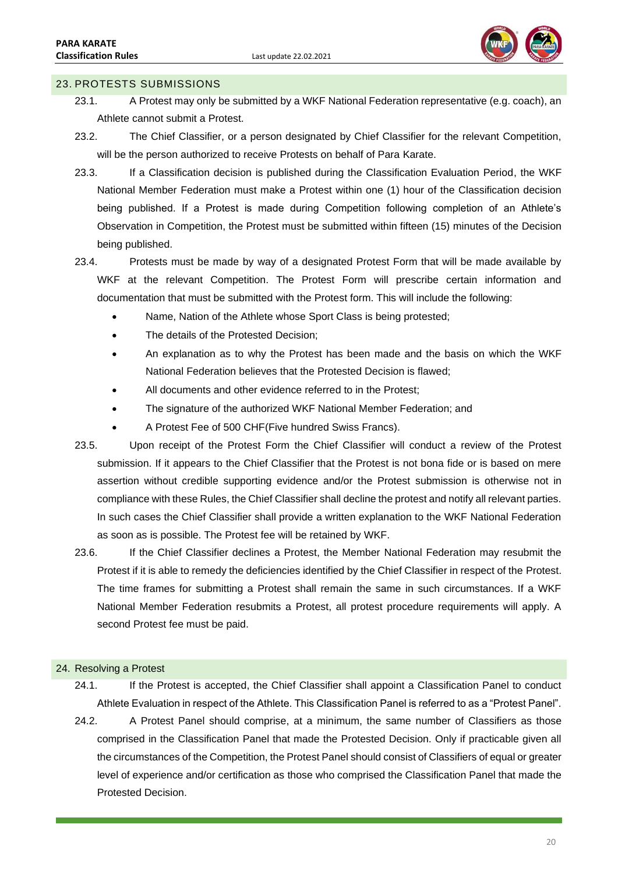

### <span id="page-20-0"></span>23. PROTESTS SUBMISSIONS

- 23.1. A Protest may only be submitted by a WKF National Federation representative (e.g. coach), an Athlete cannot submit a Protest.
- 23.2. The Chief Classifier, or a person designated by Chief Classifier for the relevant Competition, will be the person authorized to receive Protests on behalf of Para Karate.
- 23.3. If a Classification decision is published during the Classification Evaluation Period, the WKF National Member Federation must make a Protest within one (1) hour of the Classification decision being published. If a Protest is made during Competition following completion of an Athlete's Observation in Competition, the Protest must be submitted within fifteen (15) minutes of the Decision being published.
- 23.4. Protests must be made by way of a designated Protest Form that will be made available by WKF at the relevant Competition. The Protest Form will prescribe certain information and documentation that must be submitted with the Protest form. This will include the following:
	- Name, Nation of the Athlete whose Sport Class is being protested:
	- The details of the Protested Decision;
	- An explanation as to why the Protest has been made and the basis on which the WKF National Federation believes that the Protested Decision is flawed;
	- All documents and other evidence referred to in the Protest;
	- The signature of the authorized WKF National Member Federation; and
	- A Protest Fee of 500 CHF(Five hundred Swiss Francs).
- 23.5. Upon receipt of the Protest Form the Chief Classifier will conduct a review of the Protest submission. If it appears to the Chief Classifier that the Protest is not bona fide or is based on mere assertion without credible supporting evidence and/or the Protest submission is otherwise not in compliance with these Rules, the Chief Classifier shall decline the protest and notify all relevant parties. In such cases the Chief Classifier shall provide a written explanation to the WKF National Federation as soon as is possible. The Protest fee will be retained by WKF.
- 23.6. If the Chief Classifier declines a Protest, the Member National Federation may resubmit the Protest if it is able to remedy the deficiencies identified by the Chief Classifier in respect of the Protest. The time frames for submitting a Protest shall remain the same in such circumstances. If a WKF National Member Federation resubmits a Protest, all protest procedure requirements will apply. A second Protest fee must be paid.

#### <span id="page-20-1"></span>24. Resolving a Protest

- 24.1. If the Protest is accepted, the Chief Classifier shall appoint a Classification Panel to conduct Athlete Evaluation in respect of the Athlete. This Classification Panel is referred to as a "Protest Panel".
- 24.2. A Protest Panel should comprise, at a minimum, the same number of Classifiers as those comprised in the Classification Panel that made the Protested Decision. Only if practicable given all the circumstances of the Competition, the Protest Panel should consist of Classifiers of equal or greater level of experience and/or certification as those who comprised the Classification Panel that made the Protested Decision.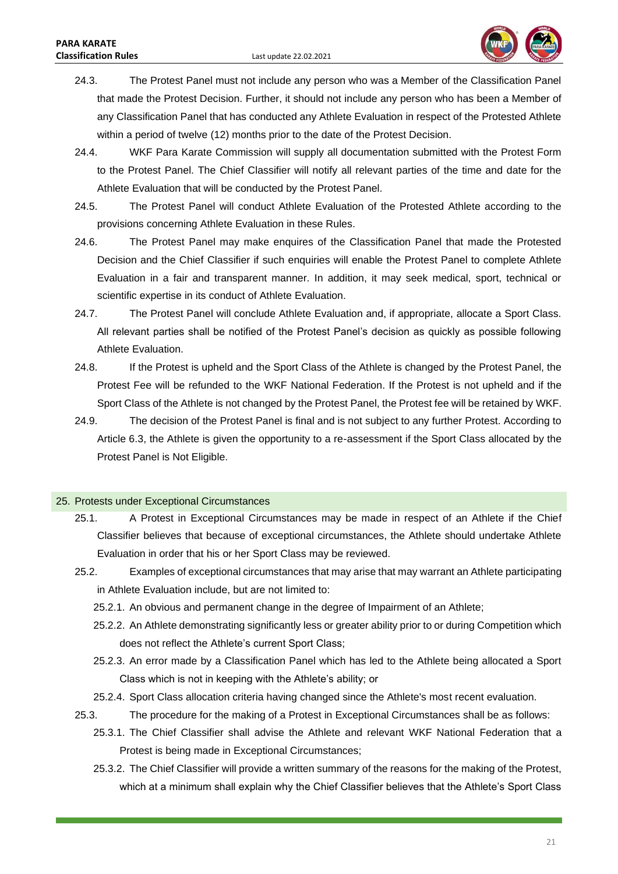

- 24.3. The Protest Panel must not include any person who was a Member of the Classification Panel that made the Protest Decision. Further, it should not include any person who has been a Member of any Classification Panel that has conducted any Athlete Evaluation in respect of the Protested Athlete within a period of twelve (12) months prior to the date of the Protest Decision.
- 24.4. WKF Para Karate Commission will supply all documentation submitted with the Protest Form to the Protest Panel. The Chief Classifier will notify all relevant parties of the time and date for the Athlete Evaluation that will be conducted by the Protest Panel.
- 24.5. The Protest Panel will conduct Athlete Evaluation of the Protested Athlete according to the provisions concerning Athlete Evaluation in these Rules.
- 24.6. The Protest Panel may make enquires of the Classification Panel that made the Protested Decision and the Chief Classifier if such enquiries will enable the Protest Panel to complete Athlete Evaluation in a fair and transparent manner. In addition, it may seek medical, sport, technical or scientific expertise in its conduct of Athlete Evaluation.
- 24.7. The Protest Panel will conclude Athlete Evaluation and, if appropriate, allocate a Sport Class. All relevant parties shall be notified of the Protest Panel's decision as quickly as possible following Athlete Evaluation.
- 24.8. If the Protest is upheld and the Sport Class of the Athlete is changed by the Protest Panel, the Protest Fee will be refunded to the WKF National Federation. If the Protest is not upheld and if the Sport Class of the Athlete is not changed by the Protest Panel, the Protest fee will be retained by WKF.
- 24.9. The decision of the Protest Panel is final and is not subject to any further Protest. According to Article 6.3, the Athlete is given the opportunity to a re-assessment if the Sport Class allocated by the Protest Panel is Not Eligible.

### <span id="page-21-0"></span>25. Protests under Exceptional Circumstances

- 25.1. A Protest in Exceptional Circumstances may be made in respect of an Athlete if the Chief Classifier believes that because of exceptional circumstances, the Athlete should undertake Athlete Evaluation in order that his or her Sport Class may be reviewed.
- 25.2. Examples of exceptional circumstances that may arise that may warrant an Athlete participating in Athlete Evaluation include, but are not limited to:
	- 25.2.1. An obvious and permanent change in the degree of Impairment of an Athlete;
	- 25.2.2. An Athlete demonstrating significantly less or greater ability prior to or during Competition which does not reflect the Athlete's current Sport Class;
	- 25.2.3. An error made by a Classification Panel which has led to the Athlete being allocated a Sport Class which is not in keeping with the Athlete's ability; or
	- 25.2.4. Sport Class allocation criteria having changed since the Athlete's most recent evaluation.
- 25.3. The procedure for the making of a Protest in Exceptional Circumstances shall be as follows:
	- 25.3.1. The Chief Classifier shall advise the Athlete and relevant WKF National Federation that a Protest is being made in Exceptional Circumstances;
	- 25.3.2. The Chief Classifier will provide a written summary of the reasons for the making of the Protest, which at a minimum shall explain why the Chief Classifier believes that the Athlete's Sport Class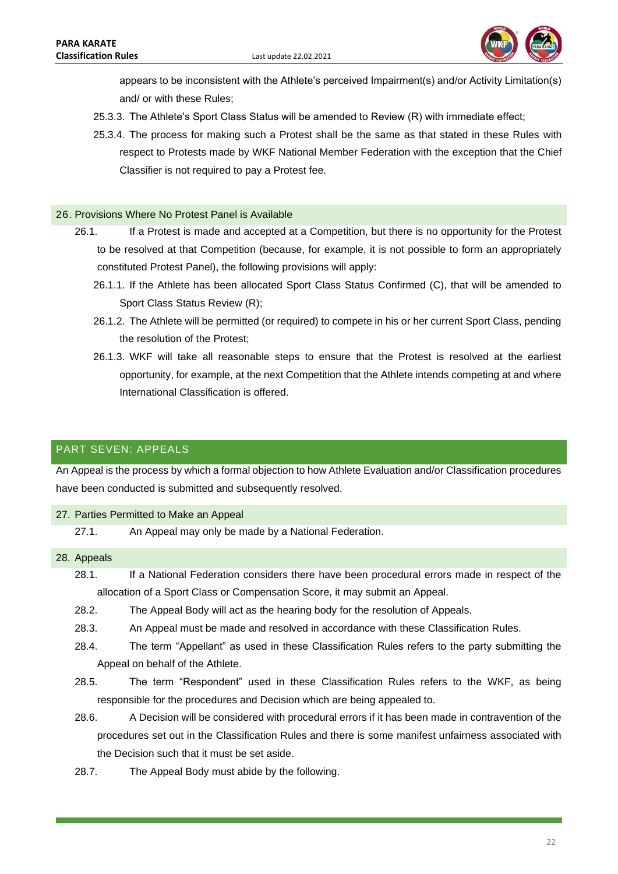

appears to be inconsistent with the Athlete's perceived Impairment(s) and/or Activity Limitation(s) and/ or with these Rules;

- 25.3.3. The Athlete's Sport Class Status will be amended to Review (R) with immediate effect;
- 25.3.4. The process for making such a Protest shall be the same as that stated in these Rules with respect to Protests made by WKF National Member Federation with the exception that the Chief Classifier is not required to pay a Protest fee.

### <span id="page-22-0"></span>26. Provisions Where No Protest Panel is Available

- 26.1. If a Protest is made and accepted at a Competition, but there is no opportunity for the Protest to be resolved at that Competition (because, for example, it is not possible to form an appropriately constituted Protest Panel), the following provisions will apply:
	- 26.1.1. If the Athlete has been allocated Sport Class Status Confirmed (C), that will be amended to Sport Class Status Review (R);
	- 26.1.2. The Athlete will be permitted (or required) to compete in his or her current Sport Class, pending the resolution of the Protest;
	- 26.1.3. WKF will take all reasonable steps to ensure that the Protest is resolved at the earliest opportunity, for example, at the next Competition that the Athlete intends competing at and where International Classification is offered.

# <span id="page-22-1"></span>PART SEVEN: APPEALS

An Appeal is the process by which a formal objection to how Athlete Evaluation and/or Classification procedures have been conducted is submitted and subsequently resolved.

#### <span id="page-22-2"></span>27. Parties Permitted to Make an Appeal

27.1. An Appeal may only be made by a National Federation.

#### <span id="page-22-3"></span>28. Appeals

- 28.1. If a National Federation considers there have been procedural errors made in respect of the allocation of a Sport Class or Compensation Score, it may submit an Appeal.
- 28.2. The Appeal Body will act as the hearing body for the resolution of Appeals.
- 28.3. An Appeal must be made and resolved in accordance with these Classification Rules.
- 28.4. The term "Appellant" as used in these Classification Rules refers to the party submitting the Appeal on behalf of the Athlete.
- 28.5. The term "Respondent" used in these Classification Rules refers to the WKF, as being responsible for the procedures and Decision which are being appealed to.
- 28.6. A Decision will be considered with procedural errors if it has been made in contravention of the procedures set out in the Classification Rules and there is some manifest unfairness associated with the Decision such that it must be set aside.
- 28.7. The Appeal Body must abide by the following.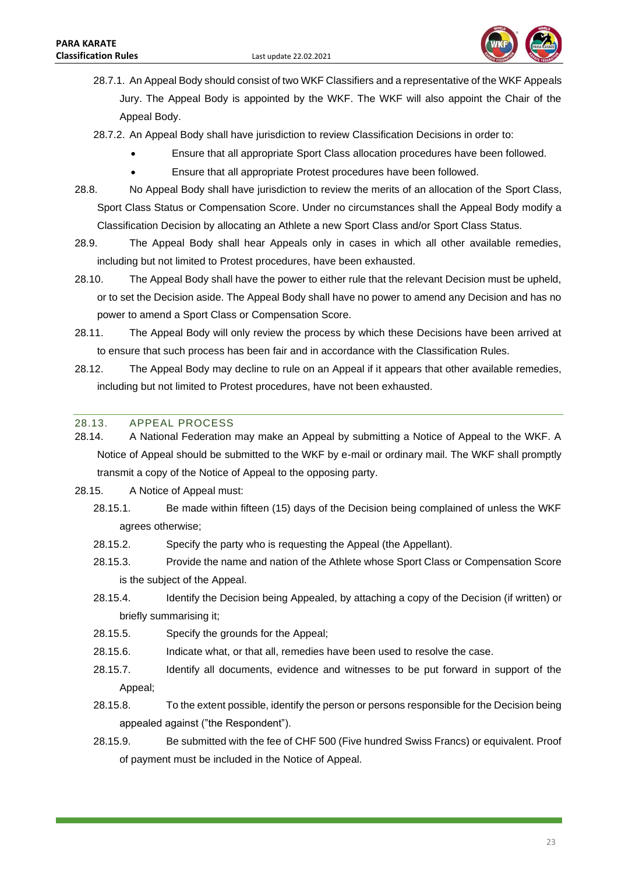

- 28.7.1. An Appeal Body should consist of two WKF Classifiers and a representative of the WKF Appeals Jury. The Appeal Body is appointed by the WKF. The WKF will also appoint the Chair of the Appeal Body.
- 28.7.2. An Appeal Body shall have jurisdiction to review Classification Decisions in order to:
	- Ensure that all appropriate Sport Class allocation procedures have been followed.
	- Ensure that all appropriate Protest procedures have been followed.
- 28.8. No Appeal Body shall have jurisdiction to review the merits of an allocation of the Sport Class, Sport Class Status or Compensation Score. Under no circumstances shall the Appeal Body modify a Classification Decision by allocating an Athlete a new Sport Class and/or Sport Class Status.
- 28.9. The Appeal Body shall hear Appeals only in cases in which all other available remedies, including but not limited to Protest procedures, have been exhausted.
- 28.10. The Appeal Body shall have the power to either rule that the relevant Decision must be upheld, or to set the Decision aside. The Appeal Body shall have no power to amend any Decision and has no power to amend a Sport Class or Compensation Score.
- 28.11. The Appeal Body will only review the process by which these Decisions have been arrived at to ensure that such process has been fair and in accordance with the Classification Rules.
- 28.12. The Appeal Body may decline to rule on an Appeal if it appears that other available remedies, including but not limited to Protest procedures, have not been exhausted.

### <span id="page-23-0"></span>28.13. APPEAL PROCESS

- 28.14. A National Federation may make an Appeal by submitting a Notice of Appeal to the WKF. A Notice of Appeal should be submitted to the WKF by e-mail or ordinary mail. The WKF shall promptly transmit a copy of the Notice of Appeal to the opposing party.
- 28.15. A Notice of Appeal must:
	- 28.15.1. Be made within fifteen (15) days of the Decision being complained of unless the WKF agrees otherwise;
	- 28.15.2. Specify the party who is requesting the Appeal (the Appellant).
	- 28.15.3. Provide the name and nation of the Athlete whose Sport Class or Compensation Score is the subject of the Appeal.
	- 28.15.4. Identify the Decision being Appealed, by attaching a copy of the Decision (if written) or briefly summarising it;
	- 28.15.5. Specify the grounds for the Appeal;
	- 28.15.6. Indicate what, or that all, remedies have been used to resolve the case.
	- 28.15.7. Identify all documents, evidence and witnesses to be put forward in support of the Appeal;
	- 28.15.8. To the extent possible, identify the person or persons responsible for the Decision being appealed against ("the Respondent").
	- 28.15.9. Be submitted with the fee of CHF 500 (Five hundred Swiss Francs) or equivalent. Proof of payment must be included in the Notice of Appeal.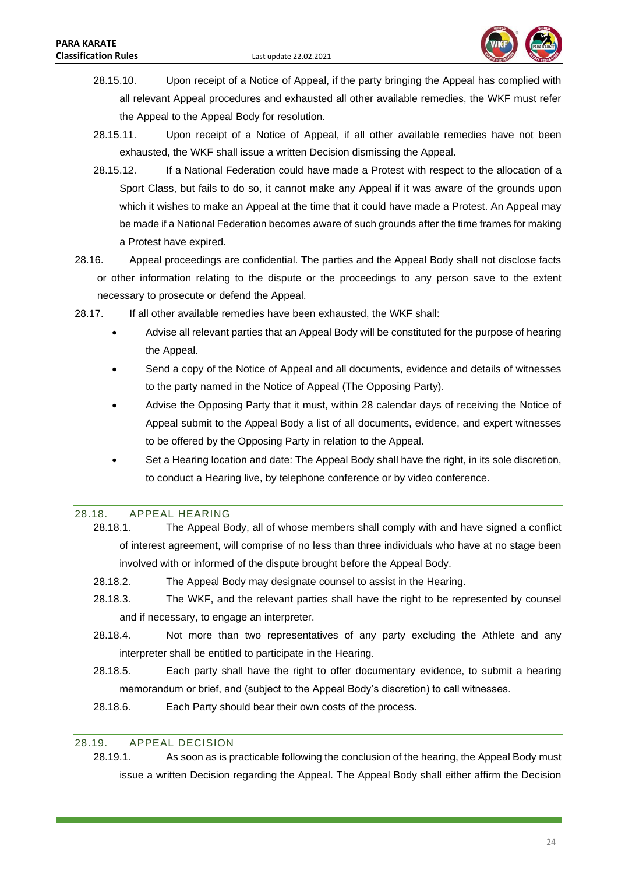

- 28.15.10. Upon receipt of a Notice of Appeal, if the party bringing the Appeal has complied with all relevant Appeal procedures and exhausted all other available remedies, the WKF must refer the Appeal to the Appeal Body for resolution.
- 28.15.11. Upon receipt of a Notice of Appeal, if all other available remedies have not been exhausted, the WKF shall issue a written Decision dismissing the Appeal.
- 28.15.12. If a National Federation could have made a Protest with respect to the allocation of a Sport Class, but fails to do so, it cannot make any Appeal if it was aware of the grounds upon which it wishes to make an Appeal at the time that it could have made a Protest. An Appeal may be made if a National Federation becomes aware of such grounds after the time frames for making a Protest have expired.
- 28.16. Appeal proceedings are confidential. The parties and the Appeal Body shall not disclose facts or other information relating to the dispute or the proceedings to any person save to the extent necessary to prosecute or defend the Appeal.
- 28.17. If all other available remedies have been exhausted, the WKF shall:
	- Advise all relevant parties that an Appeal Body will be constituted for the purpose of hearing the Appeal.
	- Send a copy of the Notice of Appeal and all documents, evidence and details of witnesses to the party named in the Notice of Appeal (The Opposing Party).
	- Advise the Opposing Party that it must, within 28 calendar days of receiving the Notice of Appeal submit to the Appeal Body a list of all documents, evidence, and expert witnesses to be offered by the Opposing Party in relation to the Appeal.
	- Set a Hearing location and date: The Appeal Body shall have the right, in its sole discretion, to conduct a Hearing live, by telephone conference or by video conference.

#### <span id="page-24-0"></span>28.18. APPEAL HEARING

- 28.18.1. The Appeal Body, all of whose members shall comply with and have signed a conflict of interest agreement, will comprise of no less than three individuals who have at no stage been involved with or informed of the dispute brought before the Appeal Body.
- 28.18.2. The Appeal Body may designate counsel to assist in the Hearing.
- 28.18.3. The WKF, and the relevant parties shall have the right to be represented by counsel and if necessary, to engage an interpreter.
- 28.18.4. Not more than two representatives of any party excluding the Athlete and any interpreter shall be entitled to participate in the Hearing.
- 28.18.5. Each party shall have the right to offer documentary evidence, to submit a hearing memorandum or brief, and (subject to the Appeal Body's discretion) to call witnesses.
- 28.18.6. Each Party should bear their own costs of the process.

### <span id="page-24-1"></span>28.19. APPEAL DECISION

28.19.1. As soon as is practicable following the conclusion of the hearing, the Appeal Body must issue a written Decision regarding the Appeal. The Appeal Body shall either affirm the Decision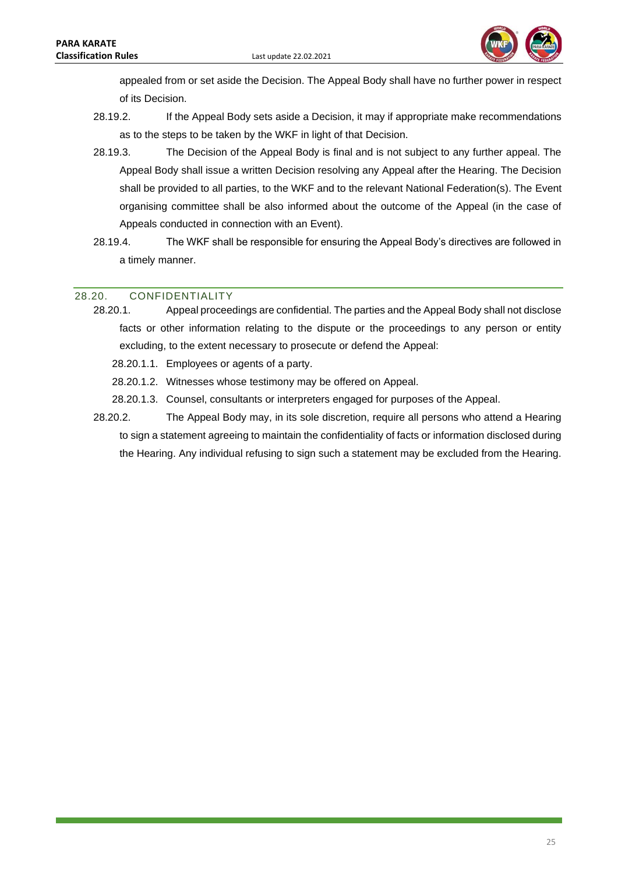

appealed from or set aside the Decision. The Appeal Body shall have no further power in respect of its Decision.

- 28.19.2. If the Appeal Body sets aside a Decision, it may if appropriate make recommendations as to the steps to be taken by the WKF in light of that Decision.
- 28.19.3. The Decision of the Appeal Body is final and is not subject to any further appeal. The Appeal Body shall issue a written Decision resolving any Appeal after the Hearing. The Decision shall be provided to all parties, to the WKF and to the relevant National Federation(s). The Event organising committee shall be also informed about the outcome of the Appeal (in the case of Appeals conducted in connection with an Event).
- 28.19.4. The WKF shall be responsible for ensuring the Appeal Body's directives are followed in a timely manner.

### <span id="page-25-0"></span>28.20. CONFIDENTIALITY

- 28.20.1. Appeal proceedings are confidential. The parties and the Appeal Body shall not disclose facts or other information relating to the dispute or the proceedings to any person or entity excluding, to the extent necessary to prosecute or defend the Appeal:
	- 28.20.1.1. Employees or agents of a party.
	- 28.20.1.2. Witnesses whose testimony may be offered on Appeal.
	- 28.20.1.3. Counsel, consultants or interpreters engaged for purposes of the Appeal.
- 28.20.2. The Appeal Body may, in its sole discretion, require all persons who attend a Hearing to sign a statement agreeing to maintain the confidentiality of facts or information disclosed during the Hearing. Any individual refusing to sign such a statement may be excluded from the Hearing.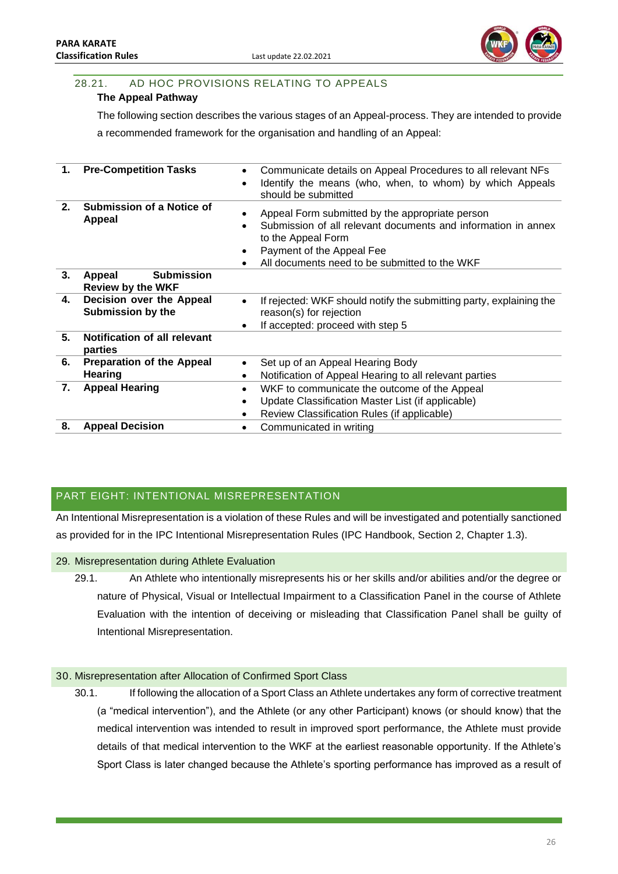

# <span id="page-26-0"></span>28.21. AD HOC PROVISIONS RELATING TO APPEALS

### **The Appeal Pathway**

The following section describes the various stages of an Appeal-process. They are intended to provide

a recommended framework for the organisation and handling of an Appeal:

| 1. | <b>Pre-Competition Tasks</b>                            | Communicate details on Appeal Procedures to all relevant NFs<br>$\bullet$<br>Identify the means (who, when, to whom) by which Appeals<br>should be submitted                                                         |
|----|---------------------------------------------------------|----------------------------------------------------------------------------------------------------------------------------------------------------------------------------------------------------------------------|
| 2. | Submission of a Notice of<br><b>Appeal</b>              | Appeal Form submitted by the appropriate person<br>Submission of all relevant documents and information in annex<br>to the Appeal Form<br>Payment of the Appeal Fee<br>All documents need to be submitted to the WKF |
| 3. | <b>Submission</b><br>Appeal<br><b>Review by the WKF</b> |                                                                                                                                                                                                                      |
| 4. | Decision over the Appeal<br><b>Submission by the</b>    | If rejected: WKF should notify the submitting party, explaining the<br>٠<br>reason(s) for rejection<br>If accepted: proceed with step 5<br>٠                                                                         |
| 5. | Notification of all relevant<br>parties                 |                                                                                                                                                                                                                      |
| 6. | <b>Preparation of the Appeal</b><br>Hearing             | Set up of an Appeal Hearing Body<br>٠<br>Notification of Appeal Hearing to all relevant parties<br>٠                                                                                                                 |
| 7. | <b>Appeal Hearing</b>                                   | WKF to communicate the outcome of the Appeal<br>٠<br>Update Classification Master List (if applicable)<br>$\bullet$<br>Review Classification Rules (if applicable)<br>٠                                              |
| 8. | <b>Appeal Decision</b>                                  | Communicated in writing                                                                                                                                                                                              |

# <span id="page-26-1"></span>PART EIGHT: INTENTIONAL MISREPRESENTATION

An Intentional Misrepresentation is a violation of these Rules and will be investigated and potentially sanctioned as provided for in the IPC Intentional Misrepresentation Rules (IPC Handbook, Section 2, Chapter 1.3).

- <span id="page-26-2"></span>29. Misrepresentation during Athlete Evaluation
	- 29.1. An Athlete who intentionally misrepresents his or her skills and/or abilities and/or the degree or nature of Physical, Visual or Intellectual Impairment to a Classification Panel in the course of Athlete Evaluation with the intention of deceiving or misleading that Classification Panel shall be guilty of Intentional Misrepresentation.

### <span id="page-26-3"></span>30. Misrepresentation after Allocation of Confirmed Sport Class

30.1. If following the allocation of a Sport Class an Athlete undertakes any form of corrective treatment (a "medical intervention"), and the Athlete (or any other Participant) knows (or should know) that the medical intervention was intended to result in improved sport performance, the Athlete must provide details of that medical intervention to the WKF at the earliest reasonable opportunity. If the Athlete's Sport Class is later changed because the Athlete's sporting performance has improved as a result of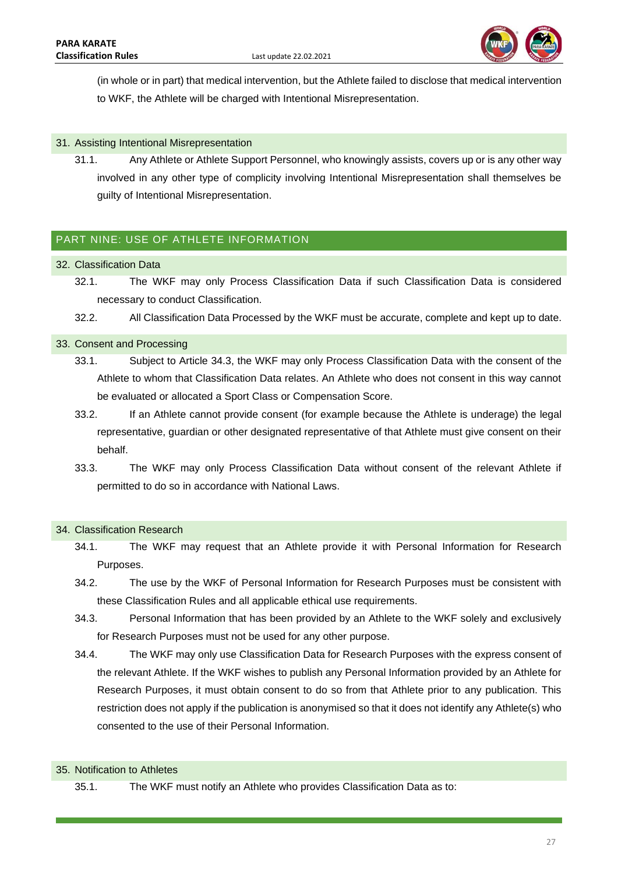

(in whole or in part) that medical intervention, but the Athlete failed to disclose that medical intervention to WKF, the Athlete will be charged with Intentional Misrepresentation.

### <span id="page-27-0"></span>31. Assisting Intentional Misrepresentation

31.1. Any Athlete or Athlete Support Personnel, who knowingly assists, covers up or is any other way involved in any other type of complicity involving Intentional Misrepresentation shall themselves be guilty of Intentional Misrepresentation.

### <span id="page-27-1"></span>PART NINE: USE OF ATHLETE INFORMATION

- <span id="page-27-2"></span>32. Classification Data
	- 32.1. The WKF may only Process Classification Data if such Classification Data is considered necessary to conduct Classification.
	- 32.2. All Classification Data Processed by the WKF must be accurate, complete and kept up to date.

#### <span id="page-27-3"></span>33. Consent and Processing

- 33.1. Subject to Article 34.3, the WKF may only Process Classification Data with the consent of the Athlete to whom that Classification Data relates. An Athlete who does not consent in this way cannot be evaluated or allocated a Sport Class or Compensation Score.
- 33.2. If an Athlete cannot provide consent (for example because the Athlete is underage) the legal representative, guardian or other designated representative of that Athlete must give consent on their behalf.
- 33.3. The WKF may only Process Classification Data without consent of the relevant Athlete if permitted to do so in accordance with National Laws.

#### <span id="page-27-4"></span>34. Classification Research

- 34.1. The WKF may request that an Athlete provide it with Personal Information for Research Purposes.
- 34.2. The use by the WKF of Personal Information for Research Purposes must be consistent with these Classification Rules and all applicable ethical use requirements.
- 34.3. Personal Information that has been provided by an Athlete to the WKF solely and exclusively for Research Purposes must not be used for any other purpose.
- 34.4. The WKF may only use Classification Data for Research Purposes with the express consent of the relevant Athlete. If the WKF wishes to publish any Personal Information provided by an Athlete for Research Purposes, it must obtain consent to do so from that Athlete prior to any publication. This restriction does not apply if the publication is anonymised so that it does not identify any Athlete(s) who consented to the use of their Personal Information.

#### <span id="page-27-5"></span>35. Notification to Athletes

35.1. The WKF must notify an Athlete who provides Classification Data as to: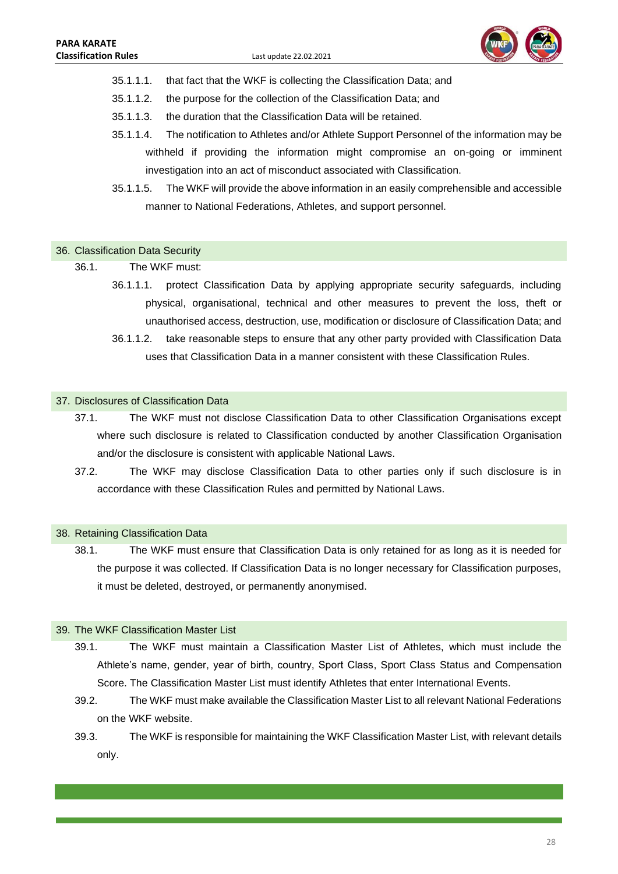

- 35.1.1.1. that fact that the WKF is collecting the Classification Data; and
- 35.1.1.2. the purpose for the collection of the Classification Data; and
- 35.1.1.3. the duration that the Classification Data will be retained.
- 35.1.1.4. The notification to Athletes and/or Athlete Support Personnel of the information may be withheld if providing the information might compromise an on-going or imminent investigation into an act of misconduct associated with Classification.
- 35.1.1.5. The WKF will provide the above information in an easily comprehensible and accessible manner to National Federations, Athletes, and support personnel.

#### <span id="page-28-0"></span>36. Classification Data Security

36.1. The WKF must:

- 36.1.1.1. protect Classification Data by applying appropriate security safeguards, including physical, organisational, technical and other measures to prevent the loss, theft or unauthorised access, destruction, use, modification or disclosure of Classification Data; and
- 36.1.1.2. take reasonable steps to ensure that any other party provided with Classification Data uses that Classification Data in a manner consistent with these Classification Rules.

#### <span id="page-28-1"></span>37. Disclosures of Classification Data

- 37.1. The WKF must not disclose Classification Data to other Classification Organisations except where such disclosure is related to Classification conducted by another Classification Organisation and/or the disclosure is consistent with applicable National Laws.
- 37.2. The WKF may disclose Classification Data to other parties only if such disclosure is in accordance with these Classification Rules and permitted by National Laws.

#### <span id="page-28-2"></span>38. Retaining Classification Data

38.1. The WKF must ensure that Classification Data is only retained for as long as it is needed for the purpose it was collected. If Classification Data is no longer necessary for Classification purposes, it must be deleted, destroyed, or permanently anonymised.

### <span id="page-28-3"></span>39. The WKF Classification Master List

- 39.1. The WKF must maintain a Classification Master List of Athletes, which must include the Athlete's name, gender, year of birth, country, Sport Class, Sport Class Status and Compensation Score. The Classification Master List must identify Athletes that enter International Events.
- 39.2. The WKF must make available the Classification Master List to all relevant National Federations on the WKF website.
- 39.3. The WKF is responsible for maintaining the WKF Classification Master List, with relevant details only.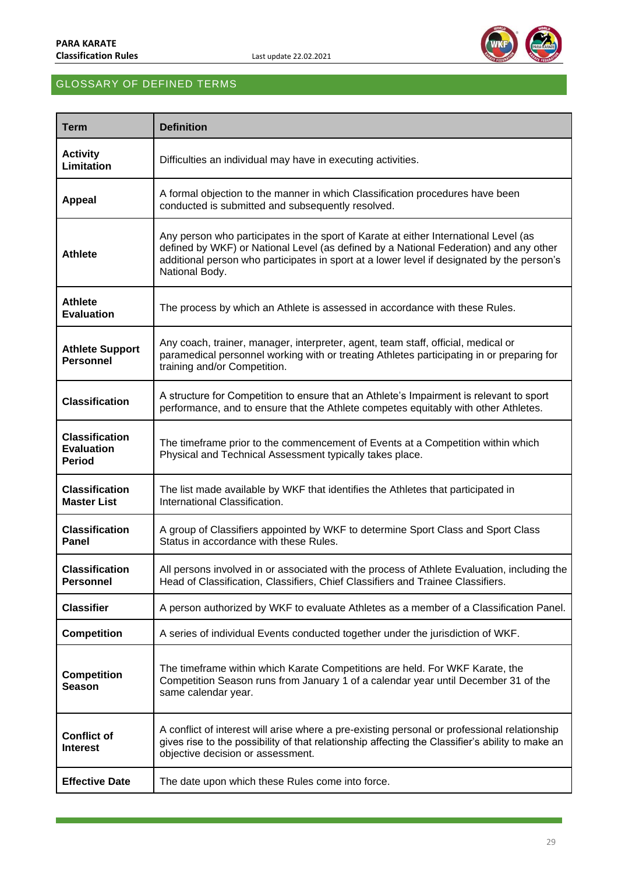

# <span id="page-29-0"></span>GLOSSARY OF DEFINED TERMS

| <b>Term</b>                                                 | <b>Definition</b>                                                                                                                                                                                                                                                                             |
|-------------------------------------------------------------|-----------------------------------------------------------------------------------------------------------------------------------------------------------------------------------------------------------------------------------------------------------------------------------------------|
| <b>Activity</b><br>Limitation                               | Difficulties an individual may have in executing activities.                                                                                                                                                                                                                                  |
| <b>Appeal</b>                                               | A formal objection to the manner in which Classification procedures have been<br>conducted is submitted and subsequently resolved.                                                                                                                                                            |
| <b>Athlete</b>                                              | Any person who participates in the sport of Karate at either International Level (as<br>defined by WKF) or National Level (as defined by a National Federation) and any other<br>additional person who participates in sport at a lower level if designated by the person's<br>National Body. |
| <b>Athlete</b><br><b>Evaluation</b>                         | The process by which an Athlete is assessed in accordance with these Rules.                                                                                                                                                                                                                   |
| <b>Athlete Support</b><br><b>Personnel</b>                  | Any coach, trainer, manager, interpreter, agent, team staff, official, medical or<br>paramedical personnel working with or treating Athletes participating in or preparing for<br>training and/or Competition.                                                                                |
| <b>Classification</b>                                       | A structure for Competition to ensure that an Athlete's Impairment is relevant to sport<br>performance, and to ensure that the Athlete competes equitably with other Athletes.                                                                                                                |
| <b>Classification</b><br><b>Evaluation</b><br><b>Period</b> | The timeframe prior to the commencement of Events at a Competition within which<br>Physical and Technical Assessment typically takes place.                                                                                                                                                   |
| <b>Classification</b><br><b>Master List</b>                 | The list made available by WKF that identifies the Athletes that participated in<br>International Classification.                                                                                                                                                                             |
| <b>Classification</b><br>Panel                              | A group of Classifiers appointed by WKF to determine Sport Class and Sport Class<br>Status in accordance with these Rules.                                                                                                                                                                    |
| <b>Classification</b><br>Personnel                          | All persons involved in or associated with the process of Athlete Evaluation, including the<br>Head of Classification, Classifiers, Chief Classifiers and Trainee Classifiers.                                                                                                                |
| <b>Classifier</b>                                           | A person authorized by WKF to evaluate Athletes as a member of a Classification Panel.                                                                                                                                                                                                        |
| <b>Competition</b>                                          | A series of individual Events conducted together under the jurisdiction of WKF.                                                                                                                                                                                                               |
| <b>Competition</b><br><b>Season</b>                         | The timeframe within which Karate Competitions are held. For WKF Karate, the<br>Competition Season runs from January 1 of a calendar year until December 31 of the<br>same calendar year.                                                                                                     |
| <b>Conflict of</b><br><b>Interest</b>                       | A conflict of interest will arise where a pre-existing personal or professional relationship<br>gives rise to the possibility of that relationship affecting the Classifier's ability to make an<br>objective decision or assessment.                                                         |
| <b>Effective Date</b>                                       | The date upon which these Rules come into force.                                                                                                                                                                                                                                              |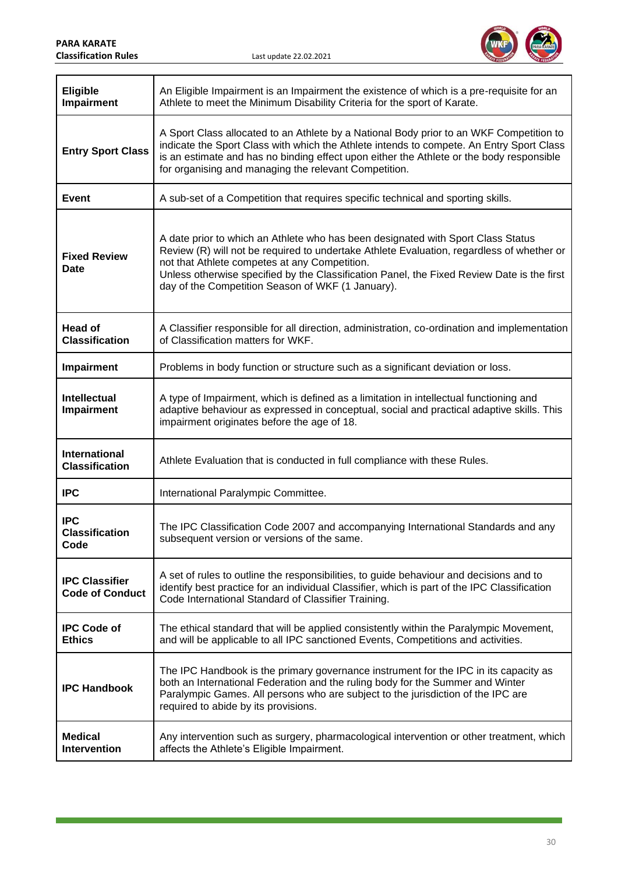

| <b>Eligible</b><br>Impairment                   | An Eligible Impairment is an Impairment the existence of which is a pre-requisite for an<br>Athlete to meet the Minimum Disability Criteria for the sport of Karate.                                                                                                                                                                                                              |
|-------------------------------------------------|-----------------------------------------------------------------------------------------------------------------------------------------------------------------------------------------------------------------------------------------------------------------------------------------------------------------------------------------------------------------------------------|
| <b>Entry Sport Class</b>                        | A Sport Class allocated to an Athlete by a National Body prior to an WKF Competition to<br>indicate the Sport Class with which the Athlete intends to compete. An Entry Sport Class<br>is an estimate and has no binding effect upon either the Athlete or the body responsible<br>for organising and managing the relevant Competition.                                          |
| Event                                           | A sub-set of a Competition that requires specific technical and sporting skills.                                                                                                                                                                                                                                                                                                  |
| <b>Fixed Review</b><br>Date                     | A date prior to which an Athlete who has been designated with Sport Class Status<br>Review (R) will not be required to undertake Athlete Evaluation, regardless of whether or<br>not that Athlete competes at any Competition.<br>Unless otherwise specified by the Classification Panel, the Fixed Review Date is the first<br>day of the Competition Season of WKF (1 January). |
| <b>Head of</b><br><b>Classification</b>         | A Classifier responsible for all direction, administration, co-ordination and implementation<br>of Classification matters for WKF.                                                                                                                                                                                                                                                |
| Impairment                                      | Problems in body function or structure such as a significant deviation or loss.                                                                                                                                                                                                                                                                                                   |
| <b>Intellectual</b><br>Impairment               | A type of Impairment, which is defined as a limitation in intellectual functioning and<br>adaptive behaviour as expressed in conceptual, social and practical adaptive skills. This<br>impairment originates before the age of 18.                                                                                                                                                |
| <b>International</b><br><b>Classification</b>   | Athlete Evaluation that is conducted in full compliance with these Rules.                                                                                                                                                                                                                                                                                                         |
| <b>IPC</b>                                      | International Paralympic Committee.                                                                                                                                                                                                                                                                                                                                               |
| <b>IPC</b><br><b>Classification</b><br>Code     | The IPC Classification Code 2007 and accompanying International Standards and any<br>subsequent version or versions of the same.                                                                                                                                                                                                                                                  |
| <b>IPC Classifier</b><br><b>Code of Conduct</b> | A set of rules to outline the responsibilities, to guide behaviour and decisions and to<br>identify best practice for an individual Classifier, which is part of the IPC Classification<br>Code International Standard of Classifier Training.                                                                                                                                    |
| <b>IPC Code of</b><br><b>Ethics</b>             | The ethical standard that will be applied consistently within the Paralympic Movement,<br>and will be applicable to all IPC sanctioned Events, Competitions and activities.                                                                                                                                                                                                       |
| <b>IPC Handbook</b>                             | The IPC Handbook is the primary governance instrument for the IPC in its capacity as<br>both an International Federation and the ruling body for the Summer and Winter<br>Paralympic Games. All persons who are subject to the jurisdiction of the IPC are<br>required to abide by its provisions.                                                                                |
| <b>Medical</b><br>Intervention                  | Any intervention such as surgery, pharmacological intervention or other treatment, which<br>affects the Athlete's Eligible Impairment.                                                                                                                                                                                                                                            |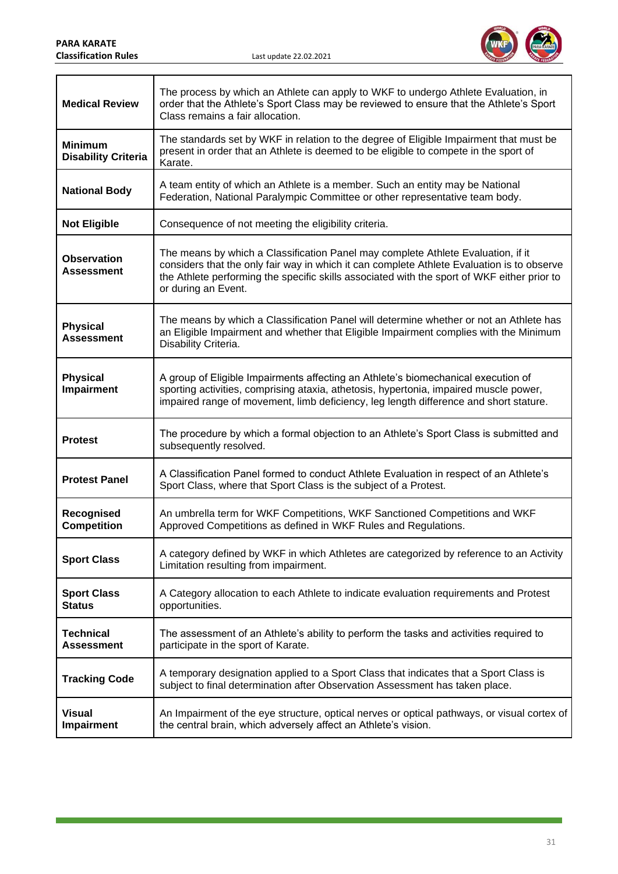a sa kacamatan ing Kabupatèn Kabupatèn Ing



| <b>Medical Review</b>                        | The process by which an Athlete can apply to WKF to undergo Athlete Evaluation, in<br>order that the Athlete's Sport Class may be reviewed to ensure that the Athlete's Sport<br>Class remains a fair allocation.                                                                                    |
|----------------------------------------------|------------------------------------------------------------------------------------------------------------------------------------------------------------------------------------------------------------------------------------------------------------------------------------------------------|
| <b>Minimum</b><br><b>Disability Criteria</b> | The standards set by WKF in relation to the degree of Eligible Impairment that must be<br>present in order that an Athlete is deemed to be eligible to compete in the sport of<br>Karate.                                                                                                            |
| <b>National Body</b>                         | A team entity of which an Athlete is a member. Such an entity may be National<br>Federation, National Paralympic Committee or other representative team body.                                                                                                                                        |
| <b>Not Eligible</b>                          | Consequence of not meeting the eligibility criteria.                                                                                                                                                                                                                                                 |
| <b>Observation</b><br><b>Assessment</b>      | The means by which a Classification Panel may complete Athlete Evaluation, if it<br>considers that the only fair way in which it can complete Athlete Evaluation is to observe<br>the Athlete performing the specific skills associated with the sport of WKF either prior to<br>or during an Event. |
| <b>Physical</b><br><b>Assessment</b>         | The means by which a Classification Panel will determine whether or not an Athlete has<br>an Eligible Impairment and whether that Eligible Impairment complies with the Minimum<br>Disability Criteria.                                                                                              |
| <b>Physical</b><br>Impairment                | A group of Eligible Impairments affecting an Athlete's biomechanical execution of<br>sporting activities, comprising ataxia, athetosis, hypertonia, impaired muscle power,<br>impaired range of movement, limb deficiency, leg length difference and short stature.                                  |
| <b>Protest</b>                               | The procedure by which a formal objection to an Athlete's Sport Class is submitted and<br>subsequently resolved.                                                                                                                                                                                     |
| <b>Protest Panel</b>                         | A Classification Panel formed to conduct Athlete Evaluation in respect of an Athlete's<br>Sport Class, where that Sport Class is the subject of a Protest.                                                                                                                                           |
| Recognised<br><b>Competition</b>             | An umbrella term for WKF Competitions, WKF Sanctioned Competitions and WKF<br>Approved Competitions as defined in WKF Rules and Regulations.                                                                                                                                                         |
| <b>Sport Class</b>                           | A category defined by WKF in which Athletes are categorized by reference to an Activity<br>Limitation resulting from impairment.                                                                                                                                                                     |
| <b>Sport Class</b><br><b>Status</b>          | A Category allocation to each Athlete to indicate evaluation requirements and Protest<br>opportunities.                                                                                                                                                                                              |
| <b>Technical</b><br><b>Assessment</b>        | The assessment of an Athlete's ability to perform the tasks and activities required to<br>participate in the sport of Karate.                                                                                                                                                                        |
| <b>Tracking Code</b>                         | A temporary designation applied to a Sport Class that indicates that a Sport Class is<br>subject to final determination after Observation Assessment has taken place.                                                                                                                                |
| <b>Visual</b><br>Impairment                  | An Impairment of the eye structure, optical nerves or optical pathways, or visual cortex of<br>the central brain, which adversely affect an Athlete's vision.                                                                                                                                        |

a sa kacamatan ing Kabupatèn Kabupatèn Kabupatèn Kabupatèn Kabupatèn Kabupatèn Kabupatèn Kabupatèn Kabupatèn K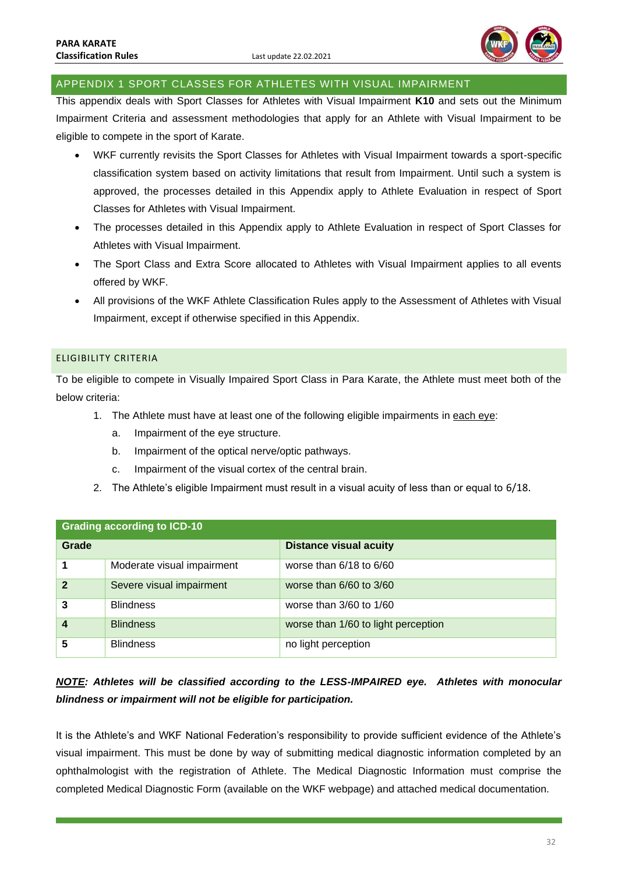

### <span id="page-32-0"></span>APPENDIX 1 SPORT CLASSES FOR ATHLETES WITH VISUAL IMPAIRMENT

This appendix deals with Sport Classes for Athletes with Visual Impairment **K10** and sets out the Minimum Impairment Criteria and assessment methodologies that apply for an Athlete with Visual Impairment to be eligible to compete in the sport of Karate.

- WKF currently revisits the Sport Classes for Athletes with Visual Impairment towards a sport-specific classification system based on activity limitations that result from Impairment. Until such a system is approved, the processes detailed in this Appendix apply to Athlete Evaluation in respect of Sport Classes for Athletes with Visual Impairment.
- The processes detailed in this Appendix apply to Athlete Evaluation in respect of Sport Classes for Athletes with Visual Impairment.
- The Sport Class and Extra Score allocated to Athletes with Visual Impairment applies to all events offered by WKF.
- All provisions of the WKF Athlete Classification Rules apply to the Assessment of Athletes with Visual Impairment, except if otherwise specified in this Appendix.

### <span id="page-32-1"></span>ELIGIBILITY CRITERIA

To be eligible to compete in Visually Impaired Sport Class in Para Karate, the Athlete must meet both of the below criteria:

- 1. The Athlete must have at least one of the following eligible impairments in each eye:
	- a. Impairment of the eye structure.
	- b. Impairment of the optical nerve/optic pathways.
	- c. Impairment of the visual cortex of the central brain.
- 2. The Athlete's eligible Impairment must result in a visual acuity of less than or equal to 6/18.

| <b>Grading according to ICD-10</b> |                            |                                     |
|------------------------------------|----------------------------|-------------------------------------|
| Grade                              |                            | <b>Distance visual acuity</b>       |
|                                    | Moderate visual impairment | worse than $6/18$ to $6/60$         |
| $\overline{2}$                     | Severe visual impairment   | worse than $6/60$ to $3/60$         |
| 3                                  | <b>Blindness</b>           | worse than $3/60$ to $1/60$         |
| $\boldsymbol{4}$                   | <b>Blindness</b>           | worse than 1/60 to light perception |
| 5                                  | <b>Blindness</b>           | no light perception                 |

# *NOTE: Athletes will be classified according to the LESS-IMPAIRED eye. Athletes with monocular blindness or impairment will not be eligible for participation.*

It is the Athlete's and WKF National Federation's responsibility to provide sufficient evidence of the Athlete's visual impairment. This must be done by way of submitting medical diagnostic information completed by an ophthalmologist with the registration of Athlete. The Medical Diagnostic Information must comprise the completed Medical Diagnostic Form (available on the WKF webpage) and attached medical documentation.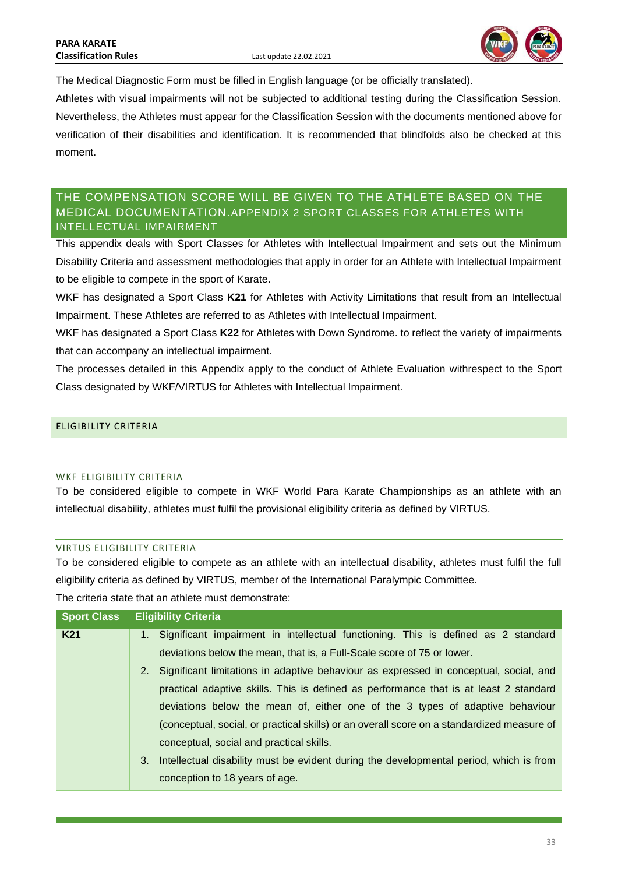

The Medical Diagnostic Form must be filled in English language (or be officially translated).

Athletes with visual impairments will not be subjected to additional testing during the Classification Session. Nevertheless, the Athletes must appear for the Classification Session with the documents mentioned above for verification of their disabilities and identification. It is recommended that blindfolds also be checked at this moment.

# <span id="page-33-0"></span>THE COMPENSATION SCORE WILL BE GIVEN TO THE ATHLETE BASED ON THE MEDICAL DOCUMENTATION.APPENDIX 2 SPORT CLASSES FOR ATHLETES WITH INTELLECTUAL IMPAIRMENT

This appendix deals with Sport Classes for Athletes with Intellectual Impairment and sets out the Minimum Disability Criteria and assessment methodologies that apply in order for an Athlete with Intellectual Impairment to be eligible to compete in the sport of Karate.

WKF has designated a Sport Class **K21** for Athletes with Activity Limitations that result from an Intellectual Impairment. These Athletes are referred to as Athletes with Intellectual Impairment.

WKF has designated a Sport Class **K22** for Athletes with Down Syndrome. to reflect the variety of impairments that can accompany an intellectual impairment.

The processes detailed in this Appendix apply to the conduct of Athlete Evaluation withrespect to the Sport Class designated by WKF/VIRTUS for Athletes with Intellectual Impairment.

# <span id="page-33-1"></span>ELIGIBILITY CRITERIA

#### <span id="page-33-2"></span>WKF FLIGIBILITY CRITERIA

To be considered eligible to compete in WKF World Para Karate Championships as an athlete with an intellectual disability, athletes must fulfil the provisional eligibility criteria as defined by VIRTUS.

### <span id="page-33-3"></span>VIRTUS ELIGIBILITY CRITERIA

To be considered eligible to compete as an athlete with an intellectual disability, athletes must fulfil the full eligibility criteria as defined by VIRTUS, member of the International Paralympic Committee.

The criteria state that an athlete must demonstrate:

| <b>Sport Class</b> | <b>Eligibility Criteria</b>                                                                |
|--------------------|--------------------------------------------------------------------------------------------|
| <b>K21</b>         | 1. Significant impairment in intellectual functioning. This is defined as 2 standard       |
|                    | deviations below the mean, that is, a Full-Scale score of 75 or lower.                     |
|                    | 2. Significant limitations in adaptive behaviour as expressed in conceptual, social, and   |
|                    | practical adaptive skills. This is defined as performance that is at least 2 standard      |
|                    | deviations below the mean of, either one of the 3 types of adaptive behaviour              |
|                    | (conceptual, social, or practical skills) or an overall score on a standardized measure of |
|                    | conceptual, social and practical skills.                                                   |
|                    | 3. Intellectual disability must be evident during the developmental period, which is from  |
|                    | conception to 18 years of age.                                                             |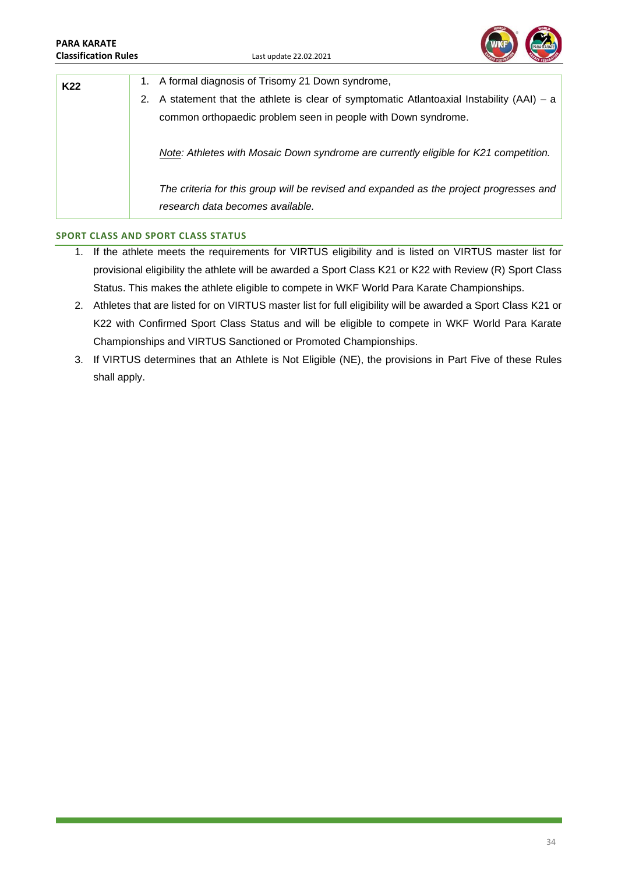#### **PARA KARATE Classification Rules** Last update 22.02.2021



| K22 | 1. A formal diagnosis of Trisomy 21 Down syndrome,                                              |
|-----|-------------------------------------------------------------------------------------------------|
|     | A statement that the athlete is clear of symptomatic Atlantoaxial Instability $(AAI) - a$<br>2. |
|     | common orthopaedic problem seen in people with Down syndrome.                                   |
|     | Note: Athletes with Mosaic Down syndrome are currently eligible for K21 competition.            |
|     | The criteria for this group will be revised and expanded as the project progresses and          |
|     | research data becomes available.                                                                |

### **SPORT CLASS AND SPORT CLASS STATUS**

- 1. If the athlete meets the requirements for VIRTUS eligibility and is listed on VIRTUS master list for provisional eligibility the athlete will be awarded a Sport Class K21 or K22 with Review (R) Sport Class Status. This makes the athlete eligible to compete in WKF World Para Karate Championships.
- 2. Athletes that are listed for on VIRTUS master list for full eligibility will be awarded a Sport Class K21 or K22 with Confirmed Sport Class Status and will be eligible to compete in WKF World Para Karate Championships and VIRTUS Sanctioned or Promoted Championships.
- 3. If VIRTUS determines that an Athlete is Not Eligible (NE), the provisions in Part Five of these Rules shall apply.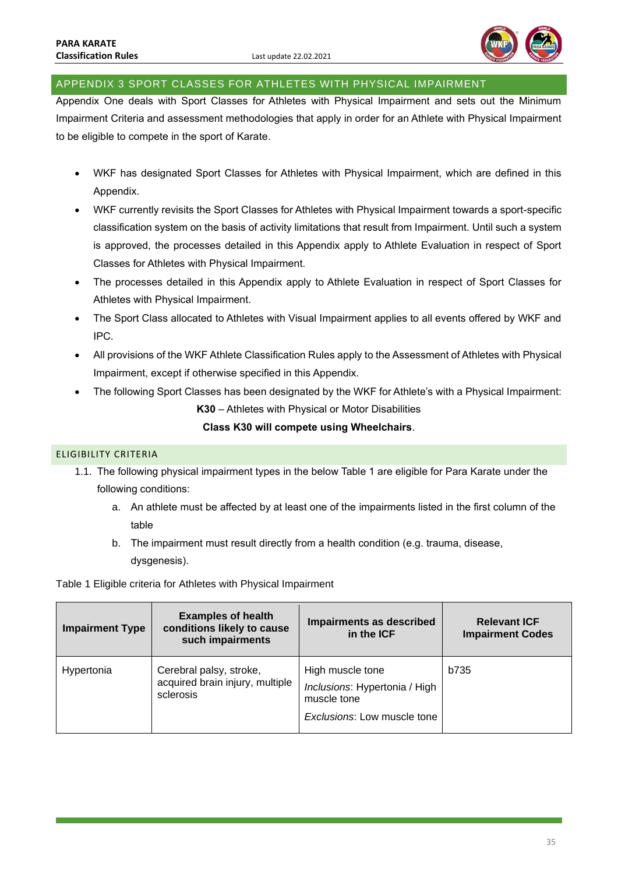

### <span id="page-35-0"></span>APPENDIX 3 SPORT CLASSES FOR ATHLETES WITH PHYSICAL IMPAIRMENT

Appendix One deals with Sport Classes for Athletes with Physical Impairment and sets out the Minimum Impairment Criteria and assessment methodologies that apply in order for an Athlete with Physical Impairment to be eligible to compete in the sport of Karate.

- WKF has designated Sport Classes for Athletes with Physical Impairment, which are defined in this Appendix.
- WKF currently revisits the Sport Classes for Athletes with Physical Impairment towards a sport-specific classification system on the basis of activity limitations that result from Impairment. Until such a system is approved, the processes detailed in this Appendix apply to Athlete Evaluation in respect of Sport Classes for Athletes with Physical Impairment.
- The processes detailed in this Appendix apply to Athlete Evaluation in respect of Sport Classes for Athletes with Physical Impairment.
- The Sport Class allocated to Athletes with Visual Impairment applies to all events offered by WKF and IPC.
- All provisions of the WKF Athlete Classification Rules apply to the Assessment of Athletes with Physical Impairment, except if otherwise specified in this Appendix.
- The following Sport Classes has been designated by the WKF for Athlete's with a Physical Impairment: **K30** – Athletes with Physical or Motor Disabilities

### **Class K30 will compete using Wheelchairs**.

### <span id="page-35-1"></span>ELIGIBILITY CRITERIA

- 1.1. The following physical impairment types in the below Table 1 are eligible for Para Karate under the following conditions:
	- a. An athlete must be affected by at least one of the impairments listed in the first column of the table
	- b. The impairment must result directly from a health condition (e.g. trauma, disease, dysgenesis).

Table 1 Eligible criteria for Athletes with Physical Impairment

| <b>Impairment Type</b> | <b>Examples of health</b><br>conditions likely to cause<br>such impairments | Impairments as described<br>in the ICF                                                          | <b>Relevant ICF</b><br><b>Impairment Codes</b> |
|------------------------|-----------------------------------------------------------------------------|-------------------------------------------------------------------------------------------------|------------------------------------------------|
| Hypertonia             | Cerebral palsy, stroke,<br>acquired brain injury, multiple<br>sclerosis     | High muscle tone<br>Inclusions: Hypertonia / High<br>muscle tone<br>Exclusions: Low muscle tone | b735                                           |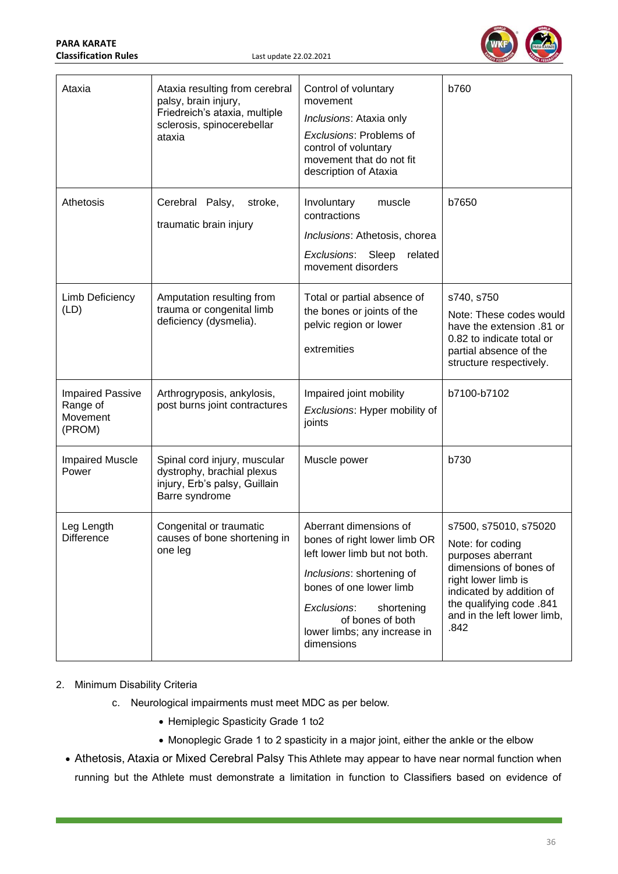| <b>PARA KARATE</b>          |
|-----------------------------|
| <b>Classification Rules</b> |



| Ataxia                                                    | Ataxia resulting from cerebral<br>palsy, brain injury,<br>Friedreich's ataxia, multiple<br>sclerosis, spinocerebellar<br>ataxia | Control of voluntary<br>movement<br>Inclusions: Ataxia only<br>Exclusions: Problems of<br>control of voluntary<br>movement that do not fit<br>description of Ataxia                                                                            | b760                                                                                                                                                                                                           |
|-----------------------------------------------------------|---------------------------------------------------------------------------------------------------------------------------------|------------------------------------------------------------------------------------------------------------------------------------------------------------------------------------------------------------------------------------------------|----------------------------------------------------------------------------------------------------------------------------------------------------------------------------------------------------------------|
| Athetosis                                                 | Cerebral Palsy,<br>stroke,<br>traumatic brain injury                                                                            | muscle<br>Involuntary<br>contractions<br>Inclusions: Athetosis, chorea<br>Exclusions: Sleep<br>related<br>movement disorders                                                                                                                   | b7650                                                                                                                                                                                                          |
| Limb Deficiency<br>(LD)                                   | Amputation resulting from<br>trauma or congenital limb<br>deficiency (dysmelia).                                                | Total or partial absence of<br>the bones or joints of the<br>pelvic region or lower<br>extremities                                                                                                                                             | s740, s750<br>Note: These codes would<br>have the extension .81 or<br>0.82 to indicate total or<br>partial absence of the<br>structure respectively.                                                           |
| <b>Impaired Passive</b><br>Range of<br>Movement<br>(PROM) | Arthrogryposis, ankylosis,<br>post burns joint contractures                                                                     | Impaired joint mobility<br>Exclusions: Hyper mobility of<br>joints                                                                                                                                                                             | b7100-b7102                                                                                                                                                                                                    |
| <b>Impaired Muscle</b><br>Power                           | Spinal cord injury, muscular<br>dystrophy, brachial plexus<br>injury, Erb's palsy, Guillain<br>Barre syndrome                   | Muscle power                                                                                                                                                                                                                                   | b730                                                                                                                                                                                                           |
| Leg Length<br>Difference                                  | Congenital or traumatic<br>causes of bone shortening in<br>one leg                                                              | Aberrant dimensions of<br>bones of right lower limb OR<br>left lower limb but not both.<br>Inclusions: shortening of<br>bones of one lower limb<br>Exclusions:<br>shortening<br>of bones of both<br>lower limbs; any increase in<br>dimensions | s7500, s75010, s75020<br>Note: for coding<br>purposes aberrant<br>dimensions of bones of<br>right lower limb is<br>indicated by addition of<br>the qualifying code .841<br>and in the left lower limb,<br>.842 |

# 2. Minimum Disability Criteria

- c. Neurological impairments must meet MDC as per below.
	- Hemiplegic Spasticity Grade 1 to2
	- Monoplegic Grade 1 to 2 spasticity in a major joint, either the ankle or the elbow
- Athetosis, Ataxia or Mixed Cerebral Palsy This Athlete may appear to have near normal function when running but the Athlete must demonstrate a limitation in function to Classifiers based on evidence of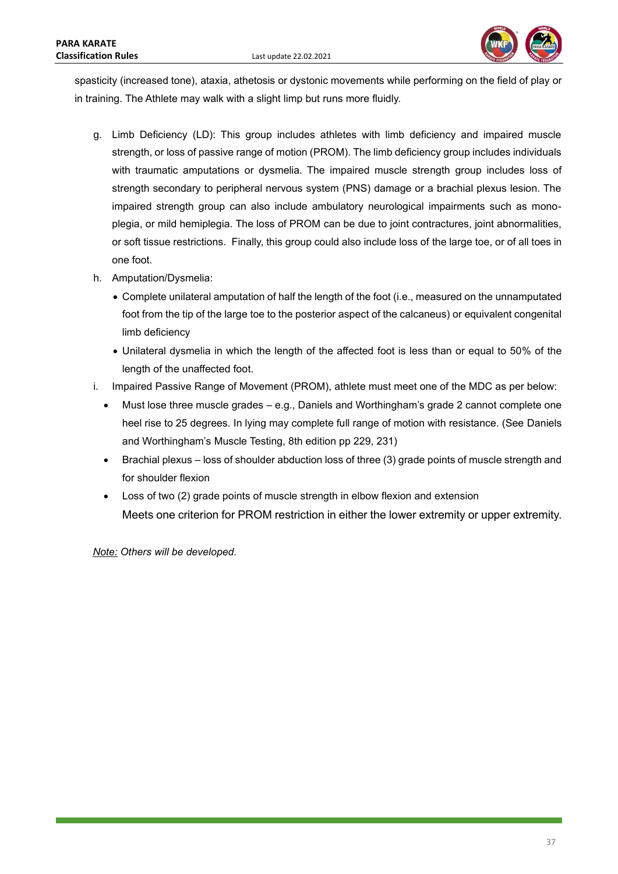

spasticity (increased tone), ataxia, athetosis or dystonic movements while performing on the field of play or in training. The Athlete may walk with a slight limp but runs more fluidly.

- g. Limb Deficiency (LD): This group includes athletes with limb deficiency and impaired muscle strength, or loss of passive range of motion (PROM). The limb deficiency group includes individuals with traumatic amputations or dysmelia. The impaired muscle strength group includes loss of strength secondary to peripheral nervous system (PNS) damage or a brachial plexus lesion. The impaired strength group can also include ambulatory neurological impairments such as monoplegia, or mild hemiplegia. The loss of PROM can be due to joint contractures, joint abnormalities, or soft tissue restrictions. Finally, this group could also include loss of the large toe, or of all toes in one foot.
- h. Amputation/Dysmelia:
	- Complete unilateral amputation of half the length of the foot (i.e., measured on the unnamputated foot from the tip of the large toe to the posterior aspect of the calcaneus) or equivalent congenital limb deficiency
	- Unilateral dysmelia in which the length of the affected foot is less than or equal to 50% of the length of the unaffected foot.
- i. Impaired Passive Range of Movement (PROM), athlete must meet one of the MDC as per below:
	- Must lose three muscle grades e.g., Daniels and Worthingham's grade 2 cannot complete one heel rise to 25 degrees. In lying may complete full range of motion with resistance. (See Daniels and Worthingham's Muscle Testing, 8th edition pp 229, 231)
	- Brachial plexus loss of shoulder abduction loss of three (3) grade points of muscle strength and for shoulder flexion
	- Loss of two (2) grade points of muscle strength in elbow flexion and extension Meets one criterion for PROM restriction in either the lower extremity or upper extremity.

*Note: Others will be developed.*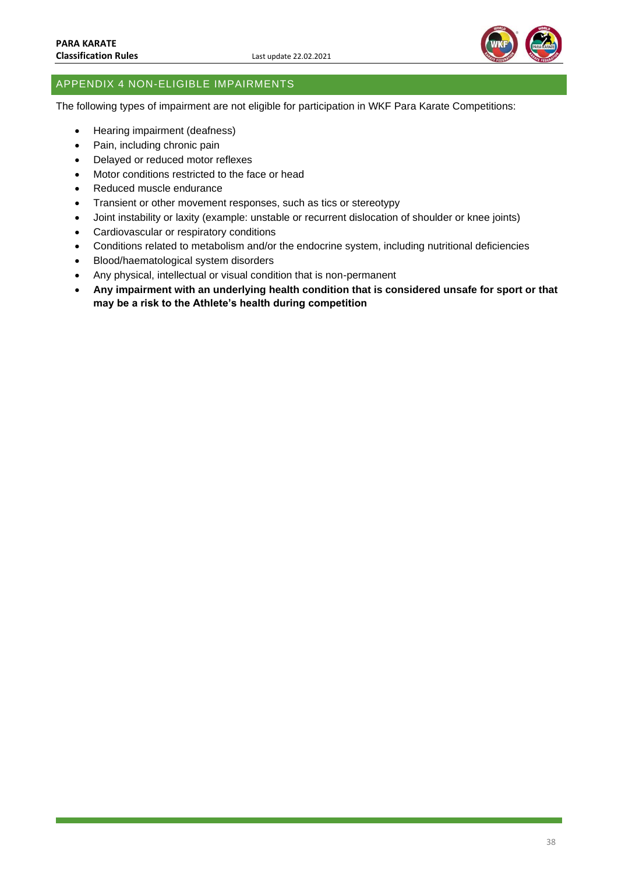

# <span id="page-38-0"></span>APPENDIX 4 NON-ELIGIBLE IMPAIRMENTS

The following types of impairment are not eligible for participation in WKF Para Karate Competitions:

- Hearing impairment (deafness)
- Pain, including chronic pain
- Delayed or reduced motor reflexes
- Motor conditions restricted to the face or head
- Reduced muscle endurance
- Transient or other movement responses, such as tics or stereotypy
- Joint instability or laxity (example: unstable or recurrent dislocation of shoulder or knee joints)
- Cardiovascular or respiratory conditions
- Conditions related to metabolism and/or the endocrine system, including nutritional deficiencies
- Blood/haematological system disorders
- Any physical, intellectual or visual condition that is non-permanent
- **Any impairment with an underlying health condition that is considered unsafe for sport or that may be a risk to the Athlete's health during competition**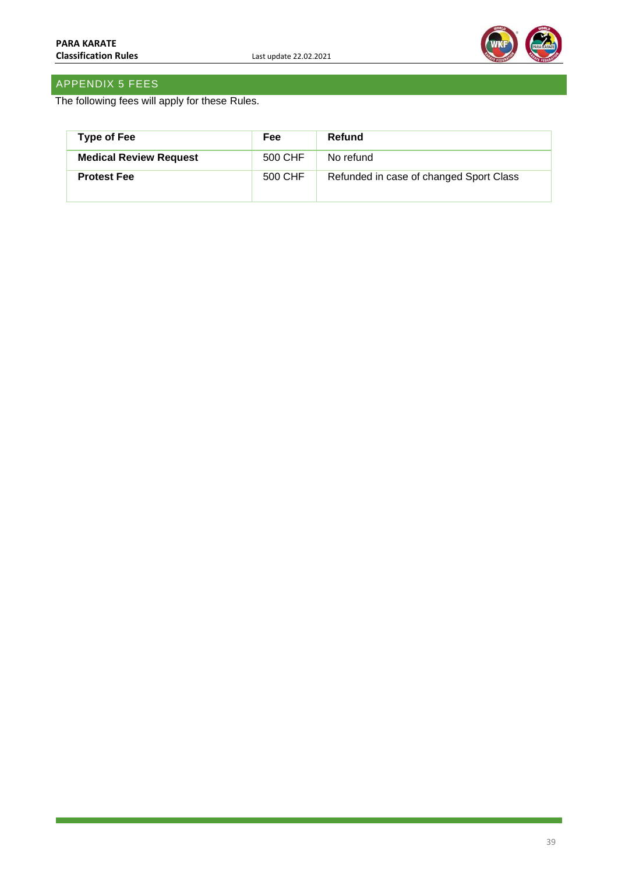

# <span id="page-39-0"></span>APPENDIX 5 FEES

The following fees will apply for these Rules.

| <b>Type of Fee</b>            | <b>Fee</b> | Refund                                  |
|-------------------------------|------------|-----------------------------------------|
| <b>Medical Review Request</b> | 500 CHF    | No refund                               |
| <b>Protest Fee</b>            | 500 CHF    | Refunded in case of changed Sport Class |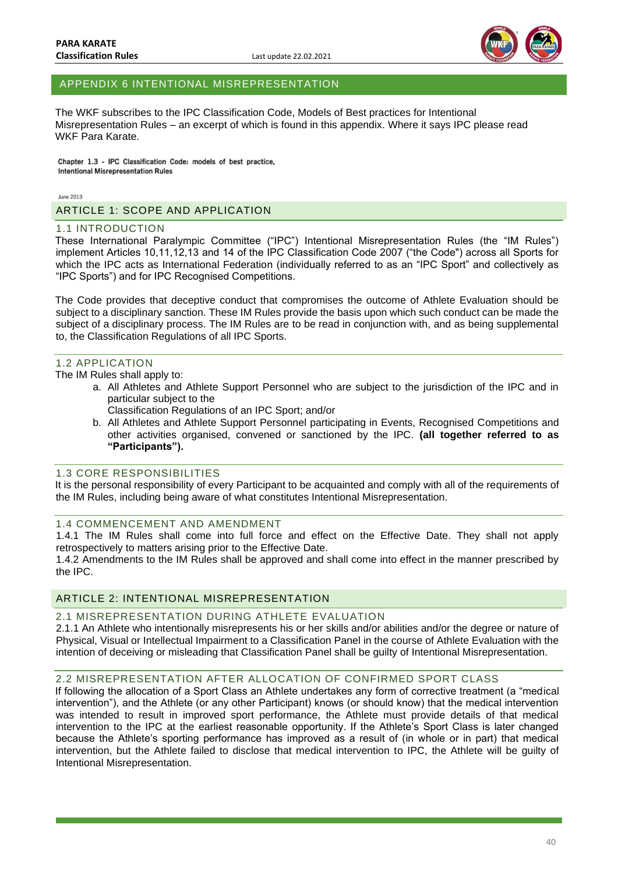

### <span id="page-40-0"></span>APPENDIX 6 INTENTIONAL MISREPRESENTATION

The WKF subscribes to the IPC Classification Code, Models of Best practices for Intentional Misrepresentation Rules – an excerpt of which is found in this appendix. Where it says IPC please read WKF Para Karate.

Chapter 1.3 - IPC Classification Code: models of best practice, **Intentional Misrepresentation Rules** 

 $l$ une 2013

<span id="page-40-1"></span>ARTICLE 1: SCOPE AND APPLICATION

#### <span id="page-40-2"></span>1.1 INTRODUCTION

These International Paralympic Committee ("IPC") Intentional Misrepresentation Rules (the "IM Rules") implement Articles 10,11,12,13 and 14 of the IPC Classification Code 2007 ("the Code") across all Sports for which the IPC acts as International Federation (individually referred to as an "IPC Sport" and collectively as "IPC Sports") and for IPC Recognised Competitions.

The Code provides that deceptive conduct that compromises the outcome of Athlete Evaluation should be subject to a disciplinary sanction. These IM Rules provide the basis upon which such conduct can be made the subject of a disciplinary process. The IM Rules are to be read in conjunction with, and as being supplemental to, the Classification Regulations of all IPC Sports.

#### <span id="page-40-3"></span>1.2 APPLICATION

The IM Rules shall apply to:

- a. All Athletes and Athlete Support Personnel who are subject to the jurisdiction of the IPC and in particular subject to the
	- Classification Regulations of an IPC Sport; and/or
- b. All Athletes and Athlete Support Personnel participating in Events, Recognised Competitions and other activities organised, convened or sanctioned by the IPC. **(all together referred to as "Participants").**

### <span id="page-40-4"></span>1.3 CORE RESPONSIBILITIES

It is the personal responsibility of every Participant to be acquainted and comply with all of the requirements of the IM Rules, including being aware of what constitutes Intentional Misrepresentation.

#### <span id="page-40-5"></span>1.4 COMMENCEMENT AND AMENDMENT

1.4.1 The IM Rules shall come into full force and effect on the Effective Date. They shall not apply retrospectively to matters arising prior to the Effective Date.

1.4.2 Amendments to the IM Rules shall be approved and shall come into effect in the manner prescribed by the IPC.

### <span id="page-40-6"></span>ARTICLE 2: INTENTIONAL MISREPRESENTATION

#### <span id="page-40-7"></span>2.1 MISREPRESENTATION DURING ATHLETE EVALUATION

2.1.1 An Athlete who intentionally misrepresents his or her skills and/or abilities and/or the degree or nature of Physical, Visual or Intellectual Impairment to a Classification Panel in the course of Athlete Evaluation with the intention of deceiving or misleading that Classification Panel shall be guilty of Intentional Misrepresentation.

#### <span id="page-40-8"></span>2.2 MISREPRESENTATION AFTER ALLOCATION OF CONFIRMED SPORT CLASS

If following the allocation of a Sport Class an Athlete undertakes any form of corrective treatment (a "medical intervention"), and the Athlete (or any other Participant) knows (or should know) that the medical intervention was intended to result in improved sport performance, the Athlete must provide details of that medical intervention to the IPC at the earliest reasonable opportunity. If the Athlete's Sport Class is later changed because the Athlete's sporting performance has improved as a result of (in whole or in part) that medical intervention, but the Athlete failed to disclose that medical intervention to IPC, the Athlete will be guilty of Intentional Misrepresentation.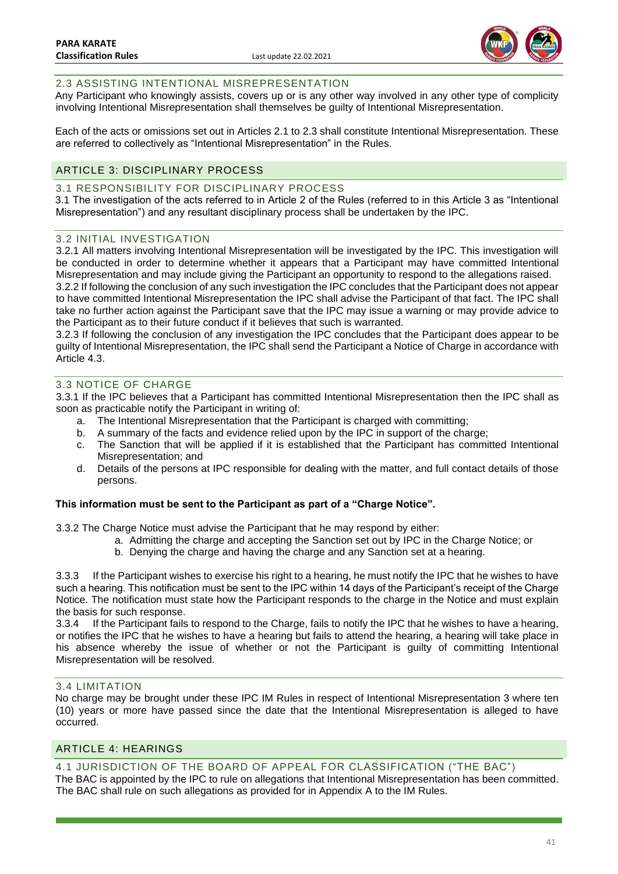

### <span id="page-41-0"></span>2.3 ASSISTING INTENTIONAL MISREPRESENTATION

Any Participant who knowingly assists, covers up or is any other way involved in any other type of complicity involving Intentional Misrepresentation shall themselves be guilty of Intentional Misrepresentation.

Each of the acts or omissions set out in Articles 2.1 to 2.3 shall constitute Intentional Misrepresentation. These are referred to collectively as "Intentional Misrepresentation" in the Rules.

### <span id="page-41-1"></span>ARTICLE 3: DISCIPLINARY PROCESS

### <span id="page-41-2"></span>3.1 RESPONSIBILITY FOR DISCIPLINARY PROCESS

3.1 The investigation of the acts referred to in Article 2 of the Rules (referred to in this Article 3 as "Intentional Misrepresentation") and any resultant disciplinary process shall be undertaken by the IPC.

### <span id="page-41-3"></span>3.2 INITIAL INVESTIGATION

3.2.1 All matters involving Intentional Misrepresentation will be investigated by the IPC. This investigation will be conducted in order to determine whether it appears that a Participant may have committed Intentional Misrepresentation and may include giving the Participant an opportunity to respond to the allegations raised. 3.2.2 If following the conclusion of any such investigation the IPC concludes that the Participant does not appear

to have committed Intentional Misrepresentation the IPC shall advise the Participant of that fact. The IPC shall take no further action against the Participant save that the IPC may issue a warning or may provide advice to the Participant as to their future conduct if it believes that such is warranted.

3.2.3 If following the conclusion of any investigation the IPC concludes that the Participant does appear to be guilty of Intentional Misrepresentation, the IPC shall send the Participant a Notice of Charge in accordance with Article 4.3.

### <span id="page-41-4"></span>3.3 NOTICE OF CHARGE

3.3.1 If the IPC believes that a Participant has committed Intentional Misrepresentation then the IPC shall as soon as practicable notify the Participant in writing of:

- a. The Intentional Misrepresentation that the Participant is charged with committing;
- b. A summary of the facts and evidence relied upon by the IPC in support of the charge;
- c. The Sanction that will be applied if it is established that the Participant has committed Intentional Misrepresentation; and
- d. Details of the persons at IPC responsible for dealing with the matter, and full contact details of those persons.

### **This information must be sent to the Participant as part of a "Charge Notice".**

3.3.2 The Charge Notice must advise the Participant that he may respond by either:

- a. Admitting the charge and accepting the Sanction set out by IPC in the Charge Notice; or
	- b. Denying the charge and having the charge and any Sanction set at a hearing.

3.3.3 If the Participant wishes to exercise his right to a hearing, he must notify the IPC that he wishes to have such a hearing. This notification must be sent to the IPC within 14 days of the Participant's receipt of the Charge Notice. The notification must state how the Participant responds to the charge in the Notice and must explain the basis for such response.

3.3.4 If the Participant fails to respond to the Charge, fails to notify the IPC that he wishes to have a hearing, or notifies the IPC that he wishes to have a hearing but fails to attend the hearing, a hearing will take place in his absence whereby the issue of whether or not the Participant is guilty of committing Intentional Misrepresentation will be resolved.

### <span id="page-41-5"></span>3.4 LIMITATION

No charge may be brought under these IPC IM Rules in respect of Intentional Misrepresentation 3 where ten (10) years or more have passed since the date that the Intentional Misrepresentation is alleged to have occurred.

### <span id="page-41-6"></span>ARTICLE 4: HEARINGS

<span id="page-41-7"></span>4.1 JURISDICTION OF THE BOARD OF APPEAL FOR CLASSIFICATION ("THE BAC")

The BAC is appointed by the IPC to rule on allegations that Intentional Misrepresentation has been committed. The BAC shall rule on such allegations as provided for in Appendix A to the IM Rules.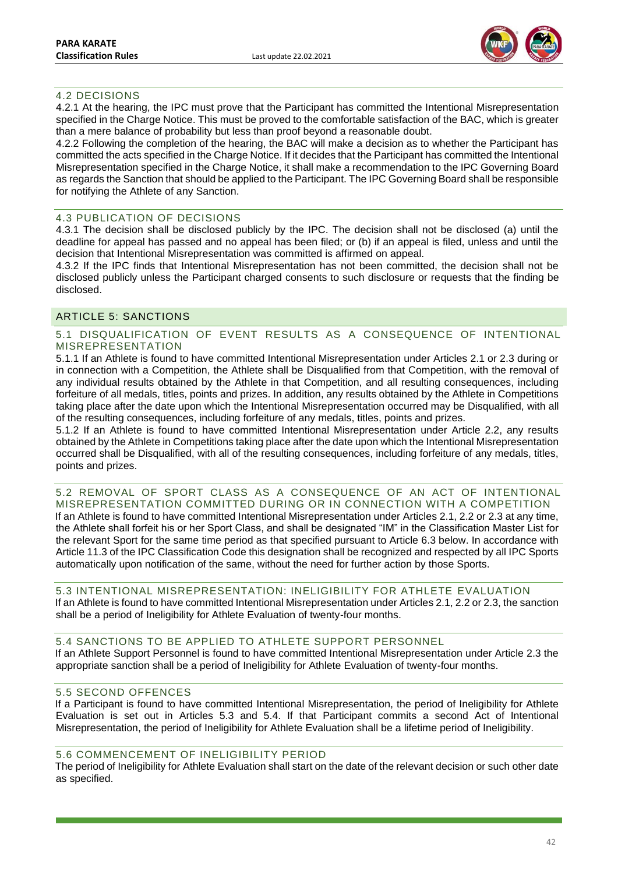

### <span id="page-42-0"></span>4.2 DECISIONS

4.2.1 At the hearing, the IPC must prove that the Participant has committed the Intentional Misrepresentation specified in the Charge Notice. This must be proved to the comfortable satisfaction of the BAC, which is greater than a mere balance of probability but less than proof beyond a reasonable doubt.

4.2.2 Following the completion of the hearing, the BAC will make a decision as to whether the Participant has committed the acts specified in the Charge Notice. If it decides that the Participant has committed the Intentional Misrepresentation specified in the Charge Notice, it shall make a recommendation to the IPC Governing Board as regards the Sanction that should be applied to the Participant. The IPC Governing Board shall be responsible for notifying the Athlete of any Sanction.

#### <span id="page-42-1"></span>4.3 PUBLICATION OF DECISIONS

4.3.1 The decision shall be disclosed publicly by the IPC. The decision shall not be disclosed (a) until the deadline for appeal has passed and no appeal has been filed; or (b) if an appeal is filed, unless and until the decision that Intentional Misrepresentation was committed is affirmed on appeal.

4.3.2 If the IPC finds that Intentional Misrepresentation has not been committed, the decision shall not be disclosed publicly unless the Participant charged consents to such disclosure or requests that the finding be disclosed.

### <span id="page-42-2"></span>ARTICLE 5: SANCTIONS

### <span id="page-42-3"></span>5.1 DISQUALIFICATION OF EVENT RESULTS AS A CONSEQUENCE OF INTENTIONAL MISREPRESENTATION

5.1.1 If an Athlete is found to have committed Intentional Misrepresentation under Articles 2.1 or 2.3 during or in connection with a Competition, the Athlete shall be Disqualified from that Competition, with the removal of any individual results obtained by the Athlete in that Competition, and all resulting consequences, including forfeiture of all medals, titles, points and prizes. In addition, any results obtained by the Athlete in Competitions taking place after the date upon which the Intentional Misrepresentation occurred may be Disqualified, with all of the resulting consequences, including forfeiture of any medals, titles, points and prizes.

5.1.2 If an Athlete is found to have committed Intentional Misrepresentation under Article 2.2, any results obtained by the Athlete in Competitions taking place after the date upon which the Intentional Misrepresentation occurred shall be Disqualified, with all of the resulting consequences, including forfeiture of any medals, titles, points and prizes.

<span id="page-42-4"></span>5.2 REMOVAL OF SPORT CLASS AS A CONSEQUENCE OF AN ACT OF INTENTIONAL MISREPRESENTATION COMMITTED DURING OR IN CONNECTION WITH A COMPETITION If an Athlete is found to have committed Intentional Misrepresentation under Articles 2.1, 2.2 or 2.3 at any time, the Athlete shall forfeit his or her Sport Class, and shall be designated "IM" in the Classification Master List for the relevant Sport for the same time period as that specified pursuant to Article 6.3 below. In accordance with Article 11.3 of the IPC Classification Code this designation shall be recognized and respected by all IPC Sports automatically upon notification of the same, without the need for further action by those Sports.

#### <span id="page-42-5"></span>5.3 INTENTIONAL MISREPRESENTATION: INELIGIBILITY FOR ATHLETE EVALUATION If an Athlete is found to have committed Intentional Misrepresentation under Articles 2.1, 2.2 or 2.3, the sanction shall be a period of Ineligibility for Athlete Evaluation of twenty-four months.

# <span id="page-42-6"></span>5.4 SANCTIONS TO BE APPLIED TO ATHLETE SUPPORT PERSONNEL

If an Athlete Support Personnel is found to have committed Intentional Misrepresentation under Article 2.3 the appropriate sanction shall be a period of Ineligibility for Athlete Evaluation of twenty-four months.

#### <span id="page-42-7"></span>5.5 SECOND OFFENCES

If a Participant is found to have committed Intentional Misrepresentation, the period of Ineligibility for Athlete Evaluation is set out in Articles 5.3 and 5.4. If that Participant commits a second Act of Intentional Misrepresentation, the period of Ineligibility for Athlete Evaluation shall be a lifetime period of Ineligibility.

### <span id="page-42-8"></span>5.6 COMMENCEMENT OF INELIGIBILITY PERIOD

The period of Ineligibility for Athlete Evaluation shall start on the date of the relevant decision or such other date as specified.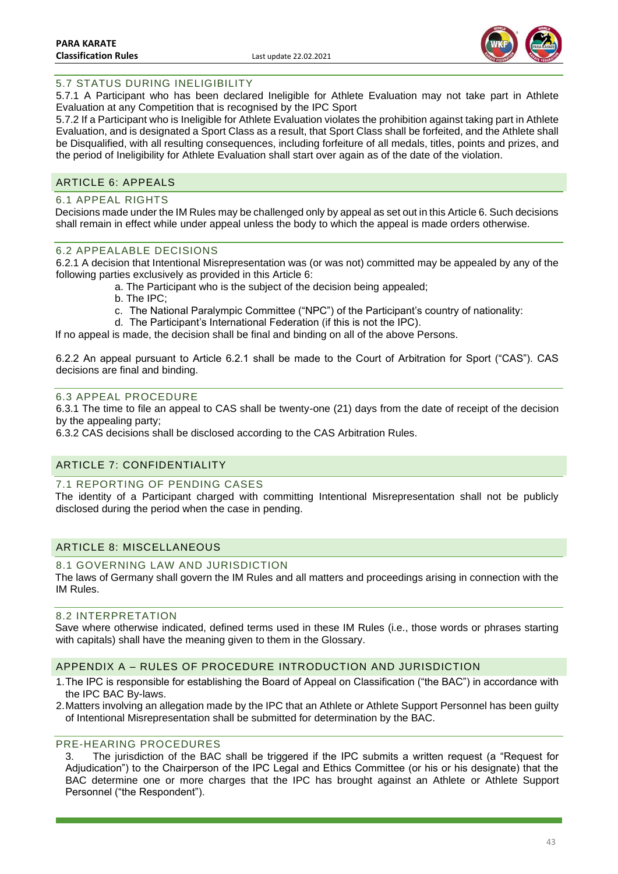

# <span id="page-43-0"></span>5.7 STATUS DURING INELIGIBILITY

5.7.1 A Participant who has been declared Ineligible for Athlete Evaluation may not take part in Athlete Evaluation at any Competition that is recognised by the IPC Sport

5.7.2 If a Participant who is Ineligible for Athlete Evaluation violates the prohibition against taking part in Athlete Evaluation, and is designated a Sport Class as a result, that Sport Class shall be forfeited, and the Athlete shall be Disqualified, with all resulting consequences, including forfeiture of all medals, titles, points and prizes, and the period of Ineligibility for Athlete Evaluation shall start over again as of the date of the violation.

### <span id="page-43-1"></span>ARTICLE 6: APPEALS

### <span id="page-43-2"></span>6.1 APPEAL RIGHTS

Decisions made under the IM Rules may be challenged only by appeal as set out in this Article 6. Such decisions shall remain in effect while under appeal unless the body to which the appeal is made orders otherwise.

### <span id="page-43-3"></span>6.2 APPEALABLE DECISIONS

6.2.1 A decision that Intentional Misrepresentation was (or was not) committed may be appealed by any of the following parties exclusively as provided in this Article 6:

- a. The Participant who is the subject of the decision being appealed;
- b. The IPC;
- c. The National Paralympic Committee ("NPC") of the Participant's country of nationality:
- d. The Participant's International Federation (if this is not the IPC).

If no appeal is made, the decision shall be final and binding on all of the above Persons.

6.2.2 An appeal pursuant to Article 6.2.1 shall be made to the Court of Arbitration for Sport ("CAS"). CAS decisions are final and binding.

### <span id="page-43-4"></span>6.3 APPEAL PROCEDURE

6.3.1 The time to file an appeal to CAS shall be twenty-one (21) days from the date of receipt of the decision by the appealing party;

6.3.2 CAS decisions shall be disclosed according to the CAS Arbitration Rules.

# <span id="page-43-5"></span>ARTICLE 7: CONFIDENTIALITY

### <span id="page-43-6"></span>7.1 REPORTING OF PENDING CASES

The identity of a Participant charged with committing Intentional Misrepresentation shall not be publicly disclosed during the period when the case in pending.

## <span id="page-43-7"></span>ARTICLE 8: MISCELLANEOUS

### <span id="page-43-8"></span>8.1 GOVERNING LAW AND JURISDICTION

The laws of Germany shall govern the IM Rules and all matters and proceedings arising in connection with the IM Rules.

#### <span id="page-43-9"></span>8.2 INTERPRETATION

Save where otherwise indicated, defined terms used in these IM Rules (i.e., those words or phrases starting with capitals) shall have the meaning given to them in the Glossary.

### <span id="page-43-10"></span>APPENDIX A – RULES OF PROCEDURE INTRODUCTION AND JURISDICTION

- 1.The IPC is responsible for establishing the Board of Appeal on Classification ("the BAC") in accordance with the IPC BAC By-laws.
- 2.Matters involving an allegation made by the IPC that an Athlete or Athlete Support Personnel has been guilty of Intentional Misrepresentation shall be submitted for determination by the BAC.

### <span id="page-43-11"></span>PRE-HEARING PROCEDURES

3. The jurisdiction of the BAC shall be triggered if the IPC submits a written request (a "Request for Adjudication") to the Chairperson of the IPC Legal and Ethics Committee (or his or his designate) that the BAC determine one or more charges that the IPC has brought against an Athlete or Athlete Support Personnel ("the Respondent").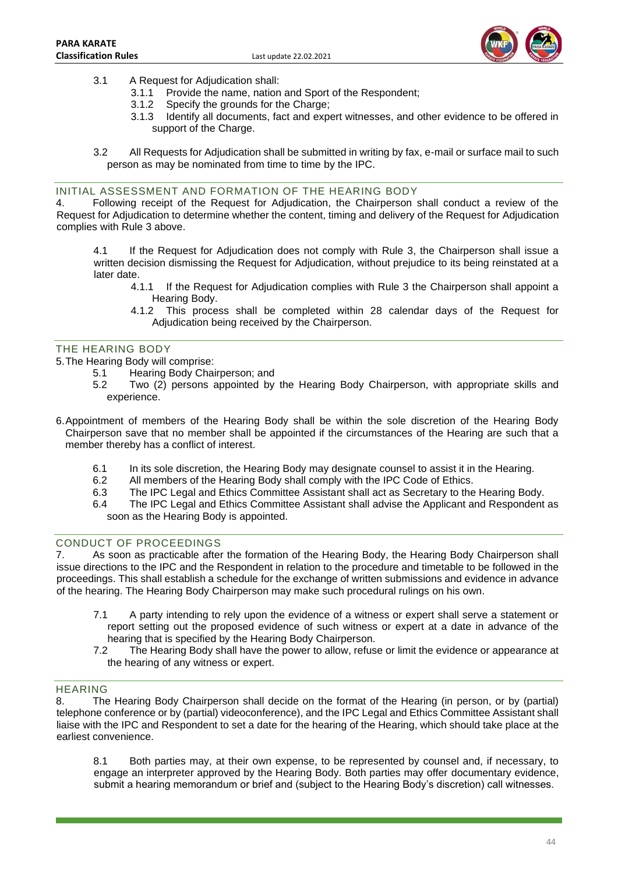

- 3.1 A Request for Adjudication shall:
	- 3.1.1 Provide the name, nation and Sport of the Respondent;
	- 3.1.2 Specify the grounds for the Charge;
	- 3.1.3 Identify all documents, fact and expert witnesses, and other evidence to be offered in support of the Charge.
- 3.2 All Requests for Adjudication shall be submitted in writing by fax, e-mail or surface mail to such person as may be nominated from time to time by the IPC.

### <span id="page-44-0"></span>INITIAL ASSESSMENT AND FORMATION OF THE HEARING BODY

4. Following receipt of the Request for Adjudication, the Chairperson shall conduct a review of the Request for Adjudication to determine whether the content, timing and delivery of the Request for Adjudication complies with Rule 3 above.

4.1 If the Request for Adjudication does not comply with Rule 3, the Chairperson shall issue a written decision dismissing the Request for Adjudication, without prejudice to its being reinstated at a later date.

- 4.1.1 If the Request for Adjudication complies with Rule 3 the Chairperson shall appoint a Hearing Body.
- 4.1.2 This process shall be completed within 28 calendar days of the Request for Adjudication being received by the Chairperson.

### <span id="page-44-1"></span>THE HEARING BODY

- 5.The Hearing Body will comprise:
	- 5.1 Hearing Body Chairperson; and
	- 5.2 Two (2) persons appointed by the Hearing Body Chairperson, with appropriate skills and experience.
- 6.Appointment of members of the Hearing Body shall be within the sole discretion of the Hearing Body Chairperson save that no member shall be appointed if the circumstances of the Hearing are such that a member thereby has a conflict of interest.
	- 6.1 In its sole discretion, the Hearing Body may designate counsel to assist it in the Hearing.
	- 6.2 All members of the Hearing Body shall comply with the IPC Code of Ethics.
	- 6.3 The IPC Legal and Ethics Committee Assistant shall act as Secretary to the Hearing Body.
	- 6.4 The IPC Legal and Ethics Committee Assistant shall advise the Applicant and Respondent as soon as the Hearing Body is appointed.

### <span id="page-44-2"></span>CONDUCT OF PROCEEDINGS

7. As soon as practicable after the formation of the Hearing Body, the Hearing Body Chairperson shall issue directions to the IPC and the Respondent in relation to the procedure and timetable to be followed in the proceedings. This shall establish a schedule for the exchange of written submissions and evidence in advance of the hearing. The Hearing Body Chairperson may make such procedural rulings on his own.

- 7.1 A party intending to rely upon the evidence of a witness or expert shall serve a statement or report setting out the proposed evidence of such witness or expert at a date in advance of the hearing that is specified by the Hearing Body Chairperson.
- 7.2 The Hearing Body shall have the power to allow, refuse or limit the evidence or appearance at the hearing of any witness or expert.

## <span id="page-44-3"></span>HEARING

8. The Hearing Body Chairperson shall decide on the format of the Hearing (in person, or by (partial) telephone conference or by (partial) videoconference), and the IPC Legal and Ethics Committee Assistant shall liaise with the IPC and Respondent to set a date for the hearing of the Hearing, which should take place at the earliest convenience.

8.1 Both parties may, at their own expense, to be represented by counsel and, if necessary, to engage an interpreter approved by the Hearing Body. Both parties may offer documentary evidence, submit a hearing memorandum or brief and (subject to the Hearing Body's discretion) call witnesses.